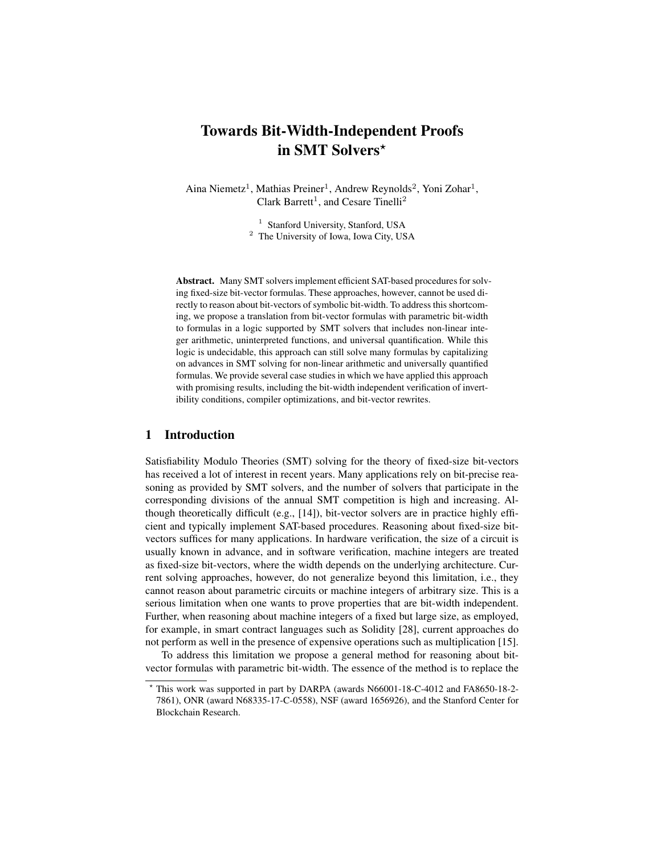# Towards Bit-Width-Independent Proofs in SMT Solvers\*

Aina Niemetz<sup>1</sup>, Mathias Preiner<sup>1</sup>, Andrew Reynolds<sup>2</sup>, Yoni Zohar<sup>1</sup>, Clark Barrett<sup>1</sup>, and Cesare Tinelli<sup>2</sup>

<sup>1</sup> Stanford University, Stanford, USA

<sup>2</sup> The University of Iowa, Iowa City, USA

Abstract. Many SMT solvers implement efficient SAT-based procedures for solving fixed-size bit-vector formulas. These approaches, however, cannot be used directly to reason about bit-vectors of symbolic bit-width. To address this shortcoming, we propose a translation from bit-vector formulas with parametric bit-width to formulas in a logic supported by SMT solvers that includes non-linear integer arithmetic, uninterpreted functions, and universal quantification. While this logic is undecidable, this approach can still solve many formulas by capitalizing on advances in SMT solving for non-linear arithmetic and universally quantified formulas. We provide several case studies in which we have applied this approach with promising results, including the bit-width independent verification of invertibility conditions, compiler optimizations, and bit-vector rewrites.

# 1 Introduction

Satisfiability Modulo Theories (SMT) solving for the theory of fixed-size bit-vectors has received a lot of interest in recent years. Many applications rely on bit-precise reasoning as provided by SMT solvers, and the number of solvers that participate in the corresponding divisions of the annual SMT competition is high and increasing. Although theoretically difficult (e.g., [\[14\]](#page-15-0)), bit-vector solvers are in practice highly efficient and typically implement SAT-based procedures. Reasoning about fixed-size bitvectors suffices for many applications. In hardware verification, the size of a circuit is usually known in advance, and in software verification, machine integers are treated as fixed-size bit-vectors, where the width depends on the underlying architecture. Current solving approaches, however, do not generalize beyond this limitation, i.e., they cannot reason about parametric circuits or machine integers of arbitrary size. This is a serious limitation when one wants to prove properties that are bit-width independent. Further, when reasoning about machine integers of a fixed but large size, as employed, for example, in smart contract languages such as Solidity [\[28\]](#page-17-0), current approaches do not perform as well in the presence of expensive operations such as multiplication [\[15\]](#page-15-1).

To address this limitation we propose a general method for reasoning about bitvector formulas with parametric bit-width. The essence of the method is to replace the

<sup>?</sup> This work was supported in part by DARPA (awards N66001-18-C-4012 and FA8650-18-2- 7861), ONR (award N68335-17-C-0558), NSF (award 1656926), and the Stanford Center for Blockchain Research.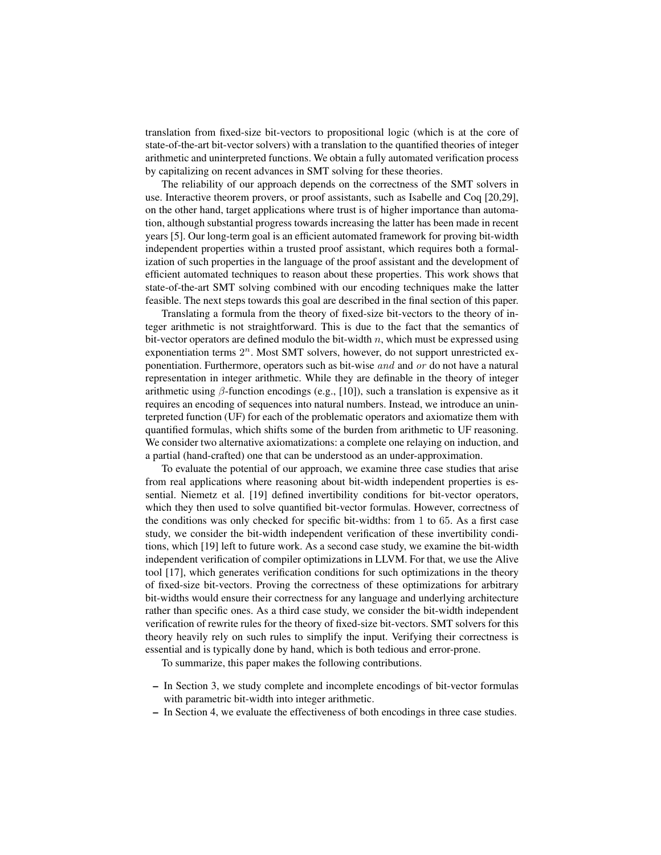translation from fixed-size bit-vectors to propositional logic (which is at the core of state-of-the-art bit-vector solvers) with a translation to the quantified theories of integer arithmetic and uninterpreted functions. We obtain a fully automated verification process by capitalizing on recent advances in SMT solving for these theories.

The reliability of our approach depends on the correctness of the SMT solvers in use. Interactive theorem provers, or proof assistants, such as Isabelle and Coq [\[20](#page-16-0)[,29\]](#page-17-1), on the other hand, target applications where trust is of higher importance than automation, although substantial progress towards increasing the latter has been made in recent years [\[5\]](#page-15-2). Our long-term goal is an efficient automated framework for proving bit-width independent properties within a trusted proof assistant, which requires both a formalization of such properties in the language of the proof assistant and the development of efficient automated techniques to reason about these properties. This work shows that state-of-the-art SMT solving combined with our encoding techniques make the latter feasible. The next steps towards this goal are described in the final section of this paper.

Translating a formula from the theory of fixed-size bit-vectors to the theory of integer arithmetic is not straightforward. This is due to the fact that the semantics of bit-vector operators are defined modulo the bit-width  $n$ , which must be expressed using exponentiation terms  $2^n$ . Most SMT solvers, however, do not support unrestricted exponentiation. Furthermore, operators such as bit-wise and and or do not have a natural representation in integer arithmetic. While they are definable in the theory of integer arithmetic using  $\beta$ -function encodings (e.g., [\[10\]](#page-15-3)), such a translation is expensive as it requires an encoding of sequences into natural numbers. Instead, we introduce an uninterpreted function (UF) for each of the problematic operators and axiomatize them with quantified formulas, which shifts some of the burden from arithmetic to UF reasoning. We consider two alternative axiomatizations: a complete one relaying on induction, and a partial (hand-crafted) one that can be understood as an under-approximation.

To evaluate the potential of our approach, we examine three case studies that arise from real applications where reasoning about bit-width independent properties is essential. Niemetz et al. [\[19\]](#page-16-1) defined invertibility conditions for bit-vector operators, which they then used to solve quantified bit-vector formulas. However, correctness of the conditions was only checked for specific bit-widths: from 1 to 65. As a first case study, we consider the bit-width independent verification of these invertibility conditions, which [\[19\]](#page-16-1) left to future work. As a second case study, we examine the bit-width independent verification of compiler optimizations in LLVM. For that, we use the Alive tool [\[17\]](#page-16-2), which generates verification conditions for such optimizations in the theory of fixed-size bit-vectors. Proving the correctness of these optimizations for arbitrary bit-widths would ensure their correctness for any language and underlying architecture rather than specific ones. As a third case study, we consider the bit-width independent verification of rewrite rules for the theory of fixed-size bit-vectors. SMT solvers for this theory heavily rely on such rules to simplify the input. Verifying their correctness is essential and is typically done by hand, which is both tedious and error-prone.

To summarize, this paper makes the following contributions.

- In Section [3,](#page-5-0) we study complete and incomplete encodings of bit-vector formulas with parametric bit-width into integer arithmetic.
- In Section [4,](#page-9-0) we evaluate the effectiveness of both encodings in three case studies.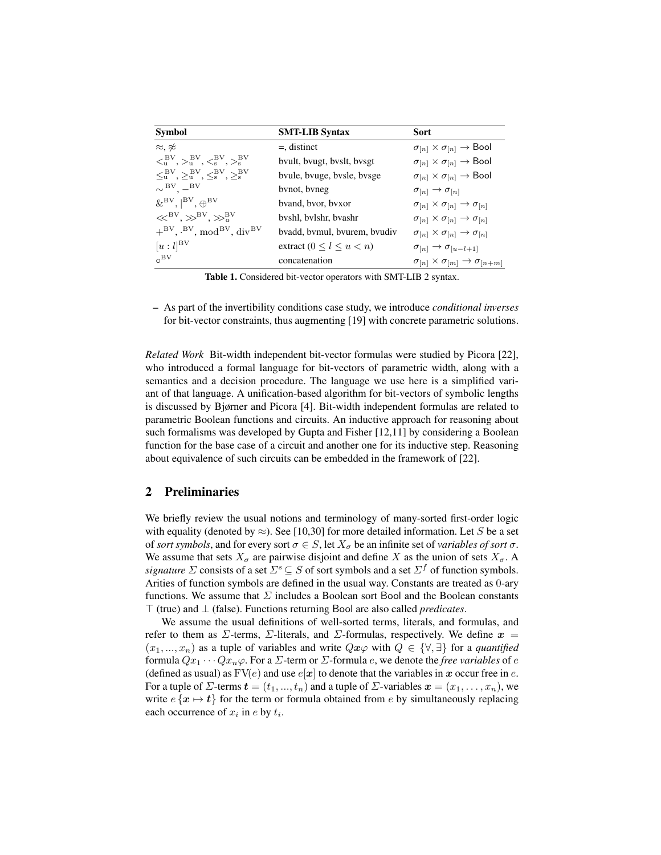| <b>Symbol</b>                                                                                                        | <b>SMT-LIB Syntax</b>           | <b>Sort</b>                                                   |  |
|----------------------------------------------------------------------------------------------------------------------|---------------------------------|---------------------------------------------------------------|--|
| $\approx$ . $\approx$                                                                                                | $=$ , distinct                  | $\sigma_{[n]} \times \sigma_{[n]} \rightarrow$ Bool           |  |
| $\langle 8^{\rm BV}, >_{\rm u}^{\rm BV}, <_{\rm s}^{\rm BV}, >_{\rm s}^{\rm BV}$                                     | bvult, byugt, byslt, bysgt      | $\sigma_{[n]} \times \sigma_{[n]} \rightarrow$ Bool           |  |
| $\langle 8^{\rm{BV}}_{\rm{u}}, \rangle^{\rm{BV}}_{\rm{u}}, \langle 8^{\rm{BV}}_{\rm{s}}, \rangle^{\rm{BV}}_{\rm{s}}$ | byule, byuge, bysle, bysge      | $\sigma_{[n]} \times \sigma_{[n]} \rightarrow$ Bool           |  |
| $\sim$ BV $_{\rm -}$ BV                                                                                              | bynot, byneg                    | $\sigma_{[n]} \rightarrow \sigma_{[n]}$                       |  |
| $\&^{\rm BV},\parallel^{\rm BV},\oplus^{\rm BV}$                                                                     | byand, byor, byxor              | $\sigma_{[n]} \times \sigma_{[n]} \rightarrow \sigma_{[n]}$   |  |
| $\ll^{\rm BV} \gg^{\rm BV} \gg^{\rm BV}$                                                                             | byshl, bylshr, byashr           | $\sigma_{[n]} \times \sigma_{[n]} \rightarrow \sigma_{[n]}$   |  |
| $+$ <sup>BV</sup> , $\cdot$ <sup>BV</sup> , mod <sup>BV</sup> , div <sup>BV</sup>                                    | byadd, bymul, byurem, byudiv    | $\sigma_{[n]} \times \sigma_{[n]} \rightarrow \sigma_{[n]}$   |  |
| $[u: l]^{\text{BV}}$                                                                                                 | extract ( $0 \le l \le u < n$ ) | $\sigma_{[n]} \rightarrow \sigma_{[u-l+1]}$                   |  |
| $\circ^{\rm BV}$                                                                                                     | concatenation                   | $\sigma_{[n]} \times \sigma_{[m]} \rightarrow \sigma_{[n+m]}$ |  |

<span id="page-2-0"></span>Table 1. Considered bit-vector operators with SMT-LIB 2 syntax.

– As part of the invertibility conditions case study, we introduce *conditional inverses* for bit-vector constraints, thus augmenting [\[19\]](#page-16-1) with concrete parametric solutions.

*Related Work* Bit-width independent bit-vector formulas were studied by Picora [\[22\]](#page-16-3), who introduced a formal language for bit-vectors of parametric width, along with a semantics and a decision procedure. The language we use here is a simplified variant of that language. A unification-based algorithm for bit-vectors of symbolic lengths is discussed by Bjørner and Picora [\[4\]](#page-15-4). Bit-width independent formulas are related to parametric Boolean functions and circuits. An inductive approach for reasoning about such formalisms was developed by Gupta and Fisher [\[12,](#page-15-5)[11\]](#page-15-6) by considering a Boolean function for the base case of a circuit and another one for its inductive step. Reasoning about equivalence of such circuits can be embedded in the framework of [\[22\]](#page-16-3).

# 2 Preliminaries

We briefly review the usual notions and terminology of many-sorted first-order logic with equality (denoted by  $\approx$ ). See [\[10,](#page-15-3)[30\]](#page-17-2) for more detailed information. Let S be a set of *sort symbols*, and for every sort  $\sigma \in S$ , let  $X_{\sigma}$  be an infinite set of *variables of sort*  $\sigma$ . We assume that sets  $X_{\sigma}$  are pairwise disjoint and define X as the union of sets  $X_{\sigma}$ . A *signature*  $\Sigma$  consists of a set  $\Sigma^s \subseteq S$  of sort symbols and a set  $\Sigma^f$  of function symbols. Arities of function symbols are defined in the usual way. Constants are treated as 0-ary functions. We assume that  $\Sigma$  includes a Boolean sort Bool and the Boolean constants > (true) and ⊥ (false). Functions returning Bool are also called *predicates*.

We assume the usual definitions of well-sorted terms, literals, and formulas, and refer to them as  $\Sigma$ -terms,  $\Sigma$ -literals, and  $\Sigma$ -formulas, respectively. We define  $x =$  $(x_1, ..., x_n)$  as a tuple of variables and write  $Qx\varphi$  with  $Q \in \{\forall, \exists\}$  for a *quantified* formula  $Qx_1 \cdots Qx_n \varphi$ . For a  $\Sigma$ -term or  $\Sigma$ -formula e, we denote the *free variables* of e (defined as usual) as  $FV(e)$  and use  $e[x]$  to denote that the variables in x occur free in e. For a tuple of  $\Sigma$ -terms  $\mathbf{t} = (t_1, ..., t_n)$  and a tuple of  $\Sigma$ -variables  $\mathbf{x} = (x_1, ..., x_n)$ , we write  $e\{x \mapsto t\}$  for the term or formula obtained from e by simultaneously replacing each occurrence of  $x_i$  in e by  $t_i$ .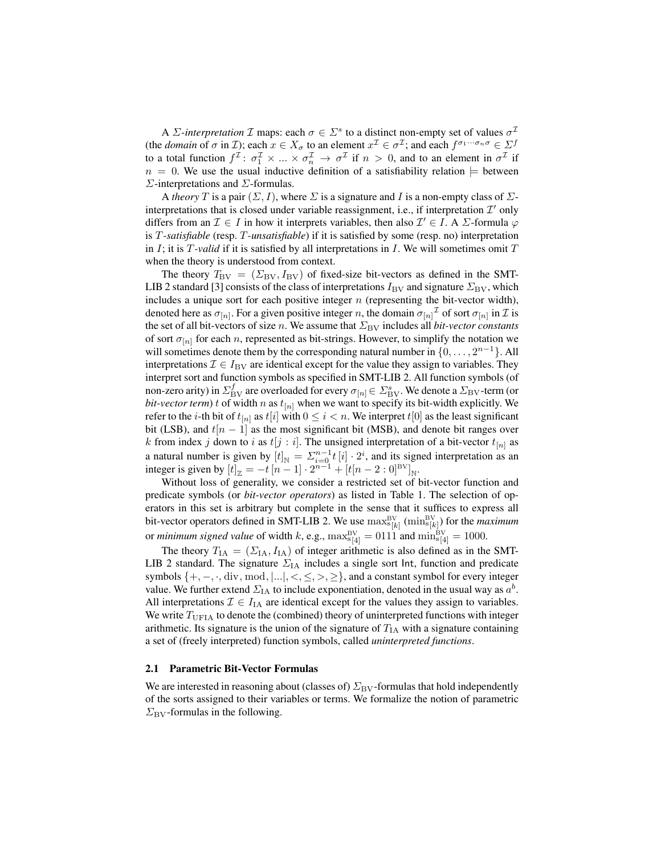A *Σ*-interpretation *I* maps: each  $\sigma \in \Sigma^s$  to a distinct non-empty set of values  $\sigma^{\mathcal{I}}$ (the *domain* of  $\sigma$  in *I*); each  $x \in X_{\sigma}$  to an element  $x^{\mathcal{I}} \in \sigma^{\mathcal{I}}$ ; and each  $f^{\sigma_1 \cdots \sigma_n \sigma} \in \Sigma^f$ to a total function  $f^{\mathcal{I}}: \sigma_1^{\mathcal{I}} \times ... \times \sigma_n^{\mathcal{I}} \to \sigma^{\mathcal{I}}$  if  $n > 0$ , and to an element in  $\sigma^{\mathcal{I}}$  if  $n = 0$ . We use the usual inductive definition of a satisfiability relation  $\models$  between Σ-interpretations and Σ-formulas.

A *theory* T is a pair  $(\Sigma, I)$ , where  $\Sigma$  is a signature and I is a non-empty class of  $\Sigma$ interpretations that is closed under variable reassignment, i.e., if interpretation  $\mathcal{I}'$  only differs from an  $\mathcal{I} \in I$  in how it interprets variables, then also  $\mathcal{I}' \in I$ . A  $\Sigma$ -formula  $\varphi$ is T*-satisfiable* (resp. T*-unsatisfiable*) if it is satisfied by some (resp. no) interpretation in  $I$ ; it is  $T$ -valid if it is satisfied by all interpretations in  $I$ . We will sometimes omit  $T$ when the theory is understood from context.

The theory  $T_{\rm BV} = (\Sigma_{\rm BV}, I_{\rm BV})$  of fixed-size bit-vectors as defined in the SMT-LIB 2 standard [\[3\]](#page-15-7) consists of the class of interpretations  $I_{\rm BV}$  and signature  $\Sigma_{\rm BV}$ , which includes a unique sort for each positive integer  $n$  (representing the bit-vector width), denoted here as  $\sigma_{[n]}$ . For a given positive integer n, the domain  $\sigma_{[n]}^T$  of sort  $\sigma_{[n]}$  in  $\mathcal I$  is the set of all bit-vectors of size *n*. We assume that  $\Sigma_{\rm BV}$  includes all *bit-vector constants* of sort  $\sigma_{[n]}$  for each *n*, represented as bit-strings. However, to simplify the notation we will sometimes denote them by the corresponding natural number in  $\{0, \ldots, 2^{n-1}\}$ . All interpretations  $\mathcal{I} \in I_{\text{BV}}$  are identical except for the value they assign to variables. They interpret sort and function symbols as specified in SMT-LIB 2. All function symbols (of non-zero arity) in  $\Sigma_{\rm BV}^f$  are overloaded for every  $\sigma_{[n]} \in \Sigma_{\rm BV}^s$ . We denote a  $\Sigma_{\rm BV}$ -term (or *bit-vector term*) t of width n as  $t_{[n]}$  when we want to specify its bit-width explicitly. We refer to the *i*-th bit of  $t_{[n]}$  as  $t[i]$  with  $0 \le i < n$ . We interpret  $t[0]$  as the least significant bit (LSB), and  $t[n-1]$  as the most significant bit (MSB), and denote bit ranges over k from index j down to i as  $t[j : i]$ . The unsigned interpretation of a bit-vector  $t_{[n]}$  as a natural number is given by  $[t]_N = \sum_{i=0}^{n-1} t[i] \cdot 2^i$ , and its signed interpretation as an integer is given by  $[t]_{\mathbb{Z}} = -t [n-1] \cdot 2^{n-1} + [t[n-2:0]^{\text{BV}}]_{\mathbb{N}}$ .

Without loss of generality, we consider a restricted set of bit-vector function and predicate symbols (or *bit-vector operators*) as listed in Table [1.](#page-2-0) The selection of operators in this set is arbitrary but complete in the sense that it suffices to express all bit-vector operators defined in SMT-LIB 2. We use  $\max_{s[k]}^{\text{BV}} (\min_{s[k]}^{\text{BV}})$  for the *maximum* or *minimum signed value* of width k, e.g.,  $\max_{s \in [4]}^{BV} = 0111$  and  $\min_{s \in [4]}^{BV} = 1000$ .

The theory  $T_{IA} = (\Sigma_{IA}, I_{IA})$  of integer arithmetic is also defined as in the SMT-LIB 2 standard. The signature  $\Sigma_{IA}$  includes a single sort lnt, function and predicate symbols  $\{+,-,\cdot, \text{div}, \text{mod}, \ldots, <, \leq, >, \geq\}$ , and a constant symbol for every integer value. We further extend  $\Sigma_{\mathrm{IA}}$  to include exponentiation, denoted in the usual way as  $a^b$ . All interpretations  $\mathcal{I} \in I_{IA}$  are identical except for the values they assign to variables. We write  $T_{\text{UFIA}}$  to denote the (combined) theory of uninterpreted functions with integer arithmetic. Its signature is the union of the signature of  $T<sub>IA</sub>$  with a signature containing a set of (freely interpreted) function symbols, called *uninterpreted functions*.

#### 2.1 Parametric Bit-Vector Formulas

We are interested in reasoning about (classes of)  $\Sigma_{\rm BV}$ -formulas that hold independently of the sorts assigned to their variables or terms. We formalize the notion of parametric  $\Sigma_{\rm BV}$ -formulas in the following.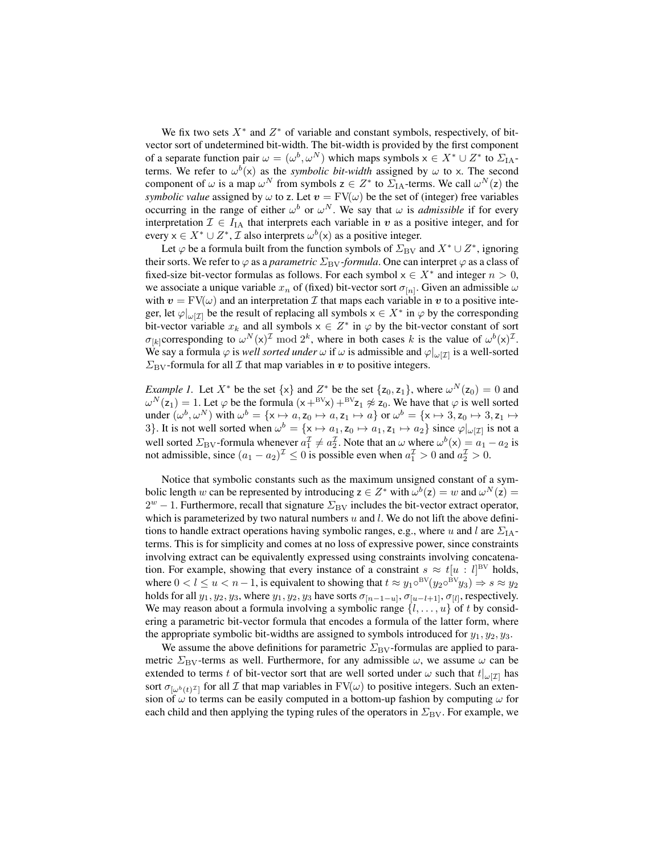We fix two sets  $X^*$  and  $Z^*$  of variable and constant symbols, respectively, of bitvector sort of undetermined bit-width. The bit-width is provided by the first component of a separate function pair  $\omega = (\omega^b, \omega^N)$  which maps symbols  $x \in X^* \cup Z^*$  to  $\Sigma_{IA}$ terms. We refer to  $\omega^{b}(x)$  as the *symbolic bit-width* assigned by  $\omega$  to x. The second component of  $\omega$  is a map  $\omega^N$  from symbols  $z \in Z^*$  to  $\Sigma_{IA}$ -terms. We call  $\omega^N(z)$  the *symbolic value* assigned by  $\omega$  to z. Let  $\mathbf{v} = \text{FV}(\omega)$  be the set of (integer) free variables occurring in the range of either  $\omega^b$  or  $\omega^N$ . We say that  $\omega$  is *admissible* if for every interpretation  $\mathcal{I} \in I_{IA}$  that interprets each variable in v as a positive integer, and for every  $x \in X^* \cup Z^*$ ,  $\mathcal I$  also interprets  $\omega^b(x)$  as a positive integer.

Let  $\varphi$  be a formula built from the function symbols of  $\Sigma_{\rm BV}$  and  $X^* \cup Z^*$ , ignoring their sorts. We refer to  $\varphi$  as a *parametric*  $\Sigma_{\rm BV}$ -formula. One can interpret  $\varphi$  as a class of fixed-size bit-vector formulas as follows. For each symbol  $x \in X^*$  and integer  $n > 0$ , we associate a unique variable  $x_n$  of (fixed) bit-vector sort  $\sigma_{[n]}$ . Given an admissible  $\omega$ with  $v = FV(\omega)$  and an interpretation  $\mathcal I$  that maps each variable in  $v$  to a positive integer, let  $\varphi|_{\omega[\mathcal{I}]}$  be the result of replacing all symbols  $x \in X^*$  in  $\varphi$  by the corresponding bit-vector variable  $x_k$  and all symbols  $x \in Z^*$  in  $\varphi$  by the bit-vector constant of sort  $\sigma_{[k]}$ corresponding to  $\omega^N(x)^{\mathcal{I}}$  mod  $2^k$ , where in both cases k is the value of  $\omega^b(x)^{\mathcal{I}}$ . We say a formula  $\varphi$  is *well sorted under*  $\omega$  if  $\omega$  is admissible and  $\varphi|_{\omega[\mathcal{I}]}$  is a well-sorted  $\Sigma_{\rm BV}$ -formula for all  $\mathcal I$  that map variables in  $\boldsymbol v$  to positive integers.

<span id="page-4-0"></span>*Example 1.* Let  $X^*$  be the set  $\{x\}$  and  $Z^*$  be the set  $\{z_0, z_1\}$ , where  $\omega^N(z_0) = 0$  and  $\omega^N(z_1) = 1$ . Let  $\varphi$  be the formula  $(x + {}^{BV}x) + {}^{BV}z_1 \not\approx z_0$ . We have that  $\varphi$  is well sorted under  $(\omega^b, \omega^N)$  with  $\omega^b = {\{\mathsf{x} \mapsto a, \mathsf{z}_0 \mapsto a, \mathsf{z}_1 \mapsto a\}}$  or  $\omega^b = {\{\mathsf{x} \mapsto 3, \mathsf{z}_0 \mapsto 3, \mathsf{z}_1 \mapsto a\}}$ 3}. It is not well sorted when  $\omega^b = \{x \mapsto a_1, z_0 \mapsto a_1, z_1 \mapsto a_2\}$  since  $\varphi|_{\omega[\mathcal{I}]}$  is not a well sorted  $\Sigma_{\rm BV}$ -formula whenever  $a_1^{\mathcal{I}} \neq a_2^{\mathcal{I}}$ . Note that an  $\omega$  where  $\omega^b(x) = a_1 - a_2$  is not admissible, since  $(a_1 - a_2)^{\mathcal{I}} \le 0$  is possible even when  $a_1^{\mathcal{I}} > 0$  and  $a_2^{\mathcal{I}} > 0$ .

Notice that symbolic constants such as the maximum unsigned constant of a symbolic length w can be represented by introducing  $z \in Z^*$  with  $\omega^b(z) = w$  and  $\omega^N(z) = w$  $2^w - 1$ . Furthermore, recall that signature  $\Sigma_{\rm BV}$  includes the bit-vector extract operator, which is parameterized by two natural numbers  $u$  and  $l$ . We do not lift the above definitions to handle extract operations having symbolic ranges, e.g., where u and l are  $\Sigma_{IA}$ terms. This is for simplicity and comes at no loss of expressive power, since constraints involving extract can be equivalently expressed using constraints involving concatenation. For example, showing that every instance of a constraint  $s \approx t[u : l]^{\text{BV}}$  holds, where  $0 < l \le u < n-1$ , is equivalent to showing that  $t \approx y_1 \circ^{BV} (y_2 \circ^{BV} y_3) \Rightarrow s \approx y_2$ holds for all  $y_1, y_2, y_3$ , where  $y_1, y_2, y_3$  have sorts  $\sigma_{[n-1-u]}, \sigma_{[u-l+1]}, \sigma_{[l]}$ , respectively. We may reason about a formula involving a symbolic range  $\{l, \ldots, u\}$  of t by considering a parametric bit-vector formula that encodes a formula of the latter form, where the appropriate symbolic bit-widths are assigned to symbols introduced for  $y_1, y_2, y_3$ .

We assume the above definitions for parametric  $\Sigma_{\rm BV}$ -formulas are applied to parametric  $\Sigma_{\rm BV}$ -terms as well. Furthermore, for any admissible  $\omega$ , we assume  $\omega$  can be extended to terms t of bit-vector sort that are well sorted under  $\omega$  such that  $t|_{\omega[\mathcal{I}]}$  has sort  $\sigma_{[\omega^b(t)^2]}$  for all  $\mathcal I$  that map variables in  $\text{FV}(\omega)$  to positive integers. Such an extension of  $\omega$  to terms can be easily computed in a bottom-up fashion by computing  $\omega$  for each child and then applying the typing rules of the operators in  $\Sigma_{\rm BV}$ . For example, we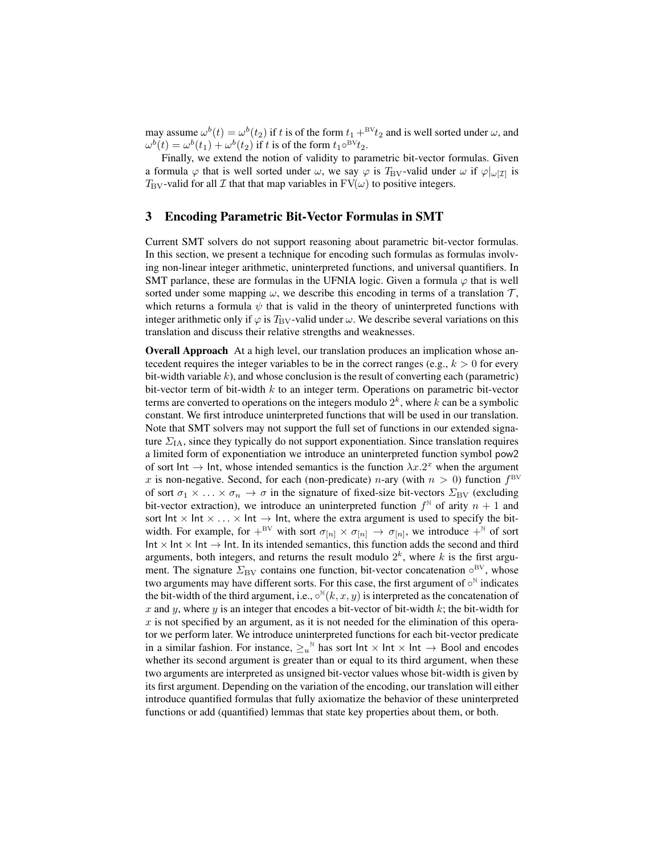may assume  $\omega^b(t) = \omega^b(t_2)$  if t is of the form  $t_1 + {}^{FV}t_2$  and is well sorted under  $\omega$ , and  $\omega^{b}(t) = \omega^{b}(t_1) + \omega^{b}(t_2)$  if t is of the form  $t_1 \circ B^{Vt} t_2$ .

Finally, we extend the notion of validity to parametric bit-vector formulas. Given a formula  $\varphi$  that is well sorted under  $\omega$ , we say  $\varphi$  is  $T_{\rm BV}$ -valid under  $\omega$  if  $\varphi|_{\omega[\mathcal{I}]}$  is  $T_{\rm BV}$ -valid for all  $\mathcal I$  that that map variables in  $\rm FV(\omega)$  to positive integers.

# <span id="page-5-0"></span>3 Encoding Parametric Bit-Vector Formulas in SMT

Current SMT solvers do not support reasoning about parametric bit-vector formulas. In this section, we present a technique for encoding such formulas as formulas involving non-linear integer arithmetic, uninterpreted functions, and universal quantifiers. In SMT parlance, these are formulas in the UFNIA logic. Given a formula  $\varphi$  that is well sorted under some mapping  $\omega$ , we describe this encoding in terms of a translation  $\mathcal{T}$ , which returns a formula  $\psi$  that is valid in the theory of uninterpreted functions with integer arithmetic only if  $\varphi$  is  $T_{\rm BV}$ -valid under  $\omega$ . We describe several variations on this translation and discuss their relative strengths and weaknesses.

Overall Approach At a high level, our translation produces an implication whose antecedent requires the integer variables to be in the correct ranges (e.g.,  $k > 0$  for every bit-width variable  $k$ ), and whose conclusion is the result of converting each (parametric) bit-vector term of bit-width  $k$  to an integer term. Operations on parametric bit-vector terms are converted to operations on the integers modulo  $2^k$ , where k can be a symbolic constant. We first introduce uninterpreted functions that will be used in our translation. Note that SMT solvers may not support the full set of functions in our extended signature  $\Sigma_{IA}$ , since they typically do not support exponentiation. Since translation requires a limited form of exponentiation we introduce an uninterpreted function symbol pow2 of sort  $Int \to Int$ , whose intended semantics is the function  $\lambda x.2^x$  when the argument x is non-negative. Second, for each (non-predicate) n-ary (with  $n > 0$ ) function  $f^{\text{BV}}$ of sort  $\sigma_1 \times \ldots \times \sigma_n \to \sigma$  in the signature of fixed-size bit-vectors  $\Sigma_{\rm BV}$  (excluding bit-vector extraction), we introduce an uninterpreted function  $f^{\mathbb{N}}$  of arity  $n + 1$  and sort  $Int \times Int \times ... \times Int \rightarrow Int$ , where the extra argument is used to specify the bitwidth. For example, for  $+^{BV}$  with sort  $\sigma_{[n]} \times \sigma_{[n]} \to \sigma_{[n]}$ , we introduce  $+^{N}$  of sort Int  $\times$  Int  $\times$  Int. In its intended semantics, this function adds the second and third arguments, both integers, and returns the result modulo  $2<sup>k</sup>$ , where k is the first argument. The signature  $\Sigma_{\rm BV}$  contains one function, bit-vector concatenation  $\circ^{\rm BV}$ , whose two arguments may have different sorts. For this case, the first argument of  $\circ^{\mathbb{N}}$  indicates the bit-width of the third argument, i.e.,  $\circ^{\mathbb{N}}(k, x, y)$  is interpreted as the concatenation of x and y, where y is an integer that encodes a bit-vector of bit-width  $k$ ; the bit-width for  $x$  is not specified by an argument, as it is not needed for the elimination of this operator we perform later. We introduce uninterpreted functions for each bit-vector predicate in a similar fashion. For instance,  $\geq_u^N$  has sort lnt  $\times$  lnt  $\times$  lnt  $\rightarrow$  Bool and encodes whether its second argument is greater than or equal to its third argument, when these two arguments are interpreted as unsigned bit-vector values whose bit-width is given by its first argument. Depending on the variation of the encoding, our translation will either introduce quantified formulas that fully axiomatize the behavior of these uninterpreted functions or add (quantified) lemmas that state key properties about them, or both.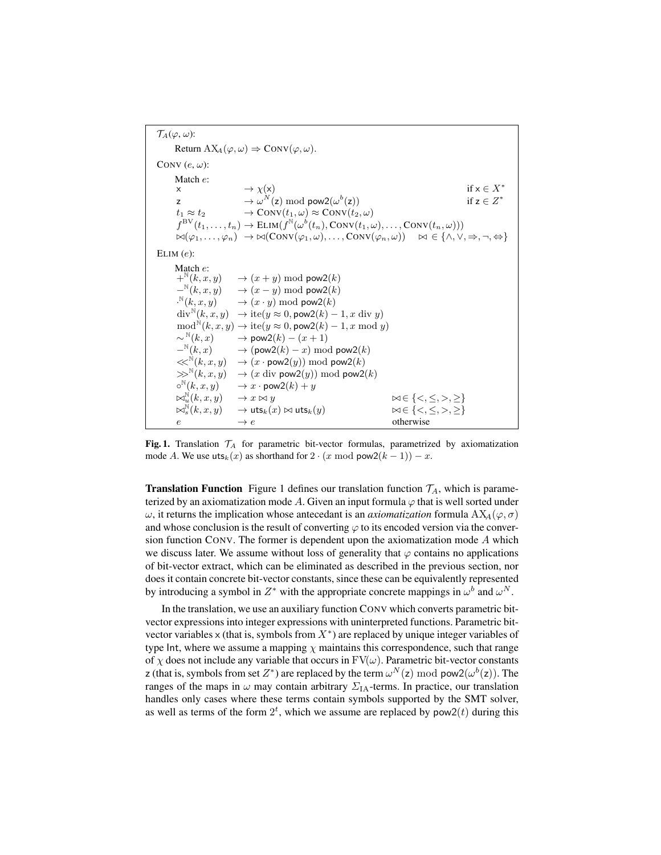| $\mathcal{T}_{A}(\varphi,\omega)$ :                                                     |                                                                                                                                                                                                                                                                                                                                                                                                                                                                                                                                                                                                                                                                                                                                                                                                                                                                                                                                                                                                  |                                                                                                    |
|-----------------------------------------------------------------------------------------|--------------------------------------------------------------------------------------------------------------------------------------------------------------------------------------------------------------------------------------------------------------------------------------------------------------------------------------------------------------------------------------------------------------------------------------------------------------------------------------------------------------------------------------------------------------------------------------------------------------------------------------------------------------------------------------------------------------------------------------------------------------------------------------------------------------------------------------------------------------------------------------------------------------------------------------------------------------------------------------------------|----------------------------------------------------------------------------------------------------|
|                                                                                         | Return $AX_4(\varphi, \omega) \Rightarrow \text{Conv}(\varphi, \omega)$ .                                                                                                                                                                                                                                                                                                                                                                                                                                                                                                                                                                                                                                                                                                                                                                                                                                                                                                                        |                                                                                                    |
| CONV $(e, \omega)$ :                                                                    |                                                                                                                                                                                                                                                                                                                                                                                                                                                                                                                                                                                                                                                                                                                                                                                                                                                                                                                                                                                                  |                                                                                                    |
| Match $e$ :<br>$\times$<br>$\overline{z}$                                               | $\rightarrow \chi(x)$<br>$\rightarrow \omega^N(z)$ mod pow $2(\omega^b(z))$<br>$t_1 \approx t_2 \longrightarrow \text{Conv}(t_1,\omega) \approx \text{Conv}(t_2,\omega)$<br>$f^{\text{BV}}(t_1,\ldots,t_n) \to \text{ELIM}(f^{\mathbb{N}}(\omega^b(t_n),\text{Conv}(t_1,\omega),\ldots,\text{Conv}(t_n,\omega)))$<br>$\bowtie(\varphi_1,\ldots,\varphi_n) \rightarrow \bowtie(\text{Conv}(\varphi_1,\omega),\ldots,\text{Conv}(\varphi_n,\omega)) \bowtie \in \{\land,\lor,\Rightarrow,\neg,\Leftrightarrow\}$                                                                                                                                                                                                                                                                                                                                                                                                                                                                                   | if $x \in X^*$<br>if $z \in Z^*$                                                                   |
| ELIM $(e)$ :                                                                            |                                                                                                                                                                                                                                                                                                                                                                                                                                                                                                                                                                                                                                                                                                                                                                                                                                                                                                                                                                                                  |                                                                                                    |
| Match e:<br>$\bowtie_u^{\mathbb{N}}(k, x, y) \longrightarrow x \bowtie y$<br>$\epsilon$ | $+^{\mathbb{N}}(k, x, y) \longrightarrow (x + y) \bmod{pow2(k)}$<br>$-\mathbb{N}(k, x, y) \longrightarrow (x - y) \bmod{pow2(k)}$<br>$\cdot^{\mathbb{N}}(k, x, y) \longrightarrow (x \cdot y) \bmod{ \mathsf{pow2}(k) }$<br>$\text{div}^{\mathbb{N}}(k, x, y) \rightarrow \text{ite}(y \approx 0, \text{pow2}(k) - 1, x \text{ div } y)$<br>$\text{mod}^{\mathbb{N}}(k, x, y) \to \text{ite}(y \approx 0, \text{pow2}(k) - 1, x \text{ mod } y)$<br>$\sim^{\mathbb{N}}(k,x) \longrightarrow \text{pow2}(k) - (x+1)$<br>$-\mathbb{N}(k, x) \rightarrow (pow2(k) - x) \text{ mod } pow2(k)$<br>$\ll^{\mathbb{N}}(k, x, y) \rightarrow (x \cdot \text{pow2}(y)) \text{ mod } \text{pow2}(k)$<br>$\gg^{\mathbb{N}}(k, x, y) \rightarrow (x \text{ div } \text{pow2}(y)) \text{ mod } \text{pow2}(k)$<br>$\circ^{\mathbb{N}}(k, x, y) \longrightarrow x \cdot \text{pow2}(k) + y$<br>$\bowtie_s^{\mathbb{N}}(k, x, y) \longrightarrow \mathsf{uts}_k(x) \bowtie \mathsf{uts}_k(y)$<br>$\rightarrow e$ | $\bowtie \in \{ \lt, , \lt, , \gt, , \gt\}$<br>$\bowtie \in \{ \lt, \leq, >, \geq \}$<br>otherwise |

<span id="page-6-0"></span>Fig. 1. Translation  $\mathcal{T}_A$  for parametric bit-vector formulas, parametrized by axiomatization mode A. We use  $uts_k(x)$  as shorthand for  $2 \cdot (x \mod pow2(k-1)) - x$ .

**Translation Function** Figure [1](#page-6-0) defines our translation function  $\mathcal{T}_A$ , which is parameterized by an axiomatization mode A. Given an input formula  $\varphi$  that is well sorted under  $ω$ , it returns the implication whose antecedant is an *axiomatization* formula  $AX_A(φ, σ)$ and whose conclusion is the result of converting  $\varphi$  to its encoded version via the conversion function CONV. The former is dependent upon the axiomatization mode A which we discuss later. We assume without loss of generality that  $\varphi$  contains no applications of bit-vector extract, which can be eliminated as described in the previous section, nor does it contain concrete bit-vector constants, since these can be equivalently represented by introducing a symbol in  $Z^*$  with the appropriate concrete mappings in  $\omega^b$  and  $\omega^N$ .

In the translation, we use an auxiliary function CONV which converts parametric bitvector expressions into integer expressions with uninterpreted functions. Parametric bitvector variables  $\times$  (that is, symbols from  $X^*$ ) are replaced by unique integer variables of type Int, where we assume a mapping  $\chi$  maintains this correspondence, such that range of  $\chi$  does not include any variable that occurs in  $FV(\omega)$ . Parametric bit-vector constants z (that is, symbols from set  $Z^*$ ) are replaced by the term  $\omega^N(z) \mod \text{pow2}(\omega^b(z))$ . The ranges of the maps in  $\omega$  may contain arbitrary  $\Sigma_{IA}$ -terms. In practice, our translation handles only cases where these terms contain symbols supported by the SMT solver, as well as terms of the form  $2^t$ , which we assume are replaced by pow2(t) during this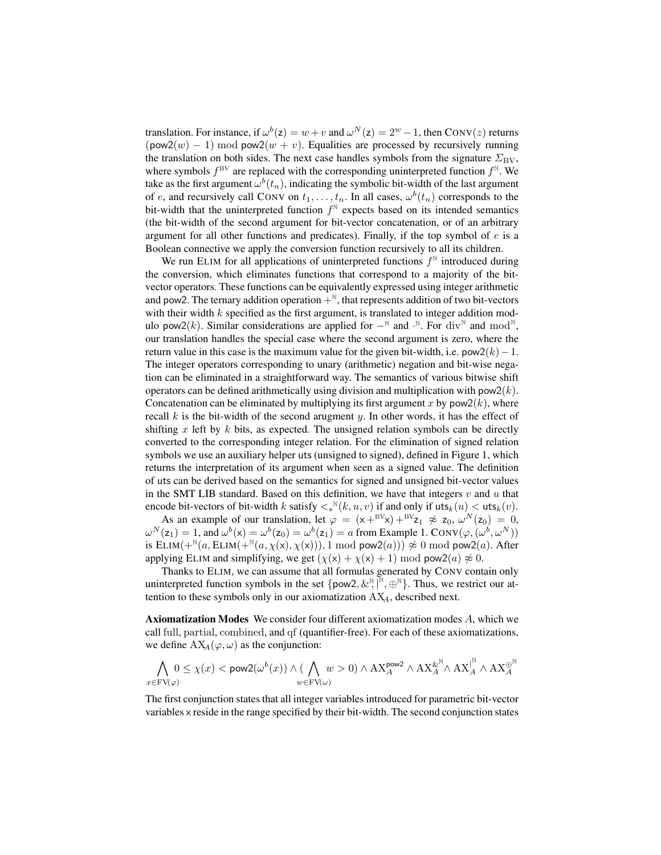translation. For instance, if  $\omega^b(z) = w + v$  and  $\omega^N(z) = 2^w - 1$ , then CONV $(z)$  returns  $(pow2(w) - 1)$  mod pow2 $(w + v)$ . Equalities are processed by recursively running the translation on both sides. The next case handles symbols from the signature  $\Sigma_{\rm BV}$ , where symbols  $f^{BV}$  are replaced with the corresponding uninterpreted function  $f^N$ . We take as the first argument  $\omega^b(t_n)$ , indicating the symbolic bit-width of the last argument of e, and recursively call CONV on  $t_1, \ldots, t_n$ . In all cases,  $\omega^b(t_n)$  corresponds to the bit-width that the uninterpreted function  $f^{\mathbb{N}}$  expects based on its intended semantics (the bit-width of the second argument for bit-vector concatenation, or of an arbitrary argument for all other functions and predicates). Finally, if the top symbol of  $e$  is a Boolean connective we apply the conversion function recursively to all its children.

We run ELIM for all applications of uninterpreted functions  $f^N$  introduced during the conversion, which eliminates functions that correspond to a majority of the bitvector operators. These functions can be equivalently expressed using integer arithmetic and pow2. The ternary addition operation  $+^{\mathbb{N}}$ , that represents addition of two bit-vectors with their width  $k$  specified as the first argument, is translated to integer addition modulo pow2(k). Similar considerations are applied for  $-^{\mathbb{N}}$  and  $\cdot^{\mathbb{N}}$ . For div<sup>N</sup> and mod<sup>N</sup>, our translation handles the special case where the second argument is zero, where the return value in this case is the maximum value for the given bit-width, i.e. pow2(k) – 1. The integer operators corresponding to unary (arithmetic) negation and bit-wise negation can be eliminated in a straightforward way. The semantics of various bitwise shift operators can be defined arithmetically using division and multiplication with  $pow2(k)$ . Concatenation can be eliminated by multiplying its first argument x by pow2 $(k)$ , where recall k is the bit-width of the second arugment y. In other words, it has the effect of shifting x left by  $k$  bits, as expected. The unsigned relation symbols can be directly converted to the corresponding integer relation. For the elimination of signed relation symbols we use an auxiliary helper uts (unsigned to signed), defined in Figure [1,](#page-6-0) which returns the interpretation of its argument when seen as a signed value. The definition of uts can be derived based on the semantics for signed and unsigned bit-vector values in the SMT LIB standard. Based on this definition, we have that integers  $v$  and  $u$  that encode bit-vectors of bit-width k satisfy  $\langle s^{\mathbb{N}}(k, u, v) \rangle$  if and only if  $\mathsf{uts}_k(u) \langle \mathsf{uts}_k(v) \rangle$ .

As an example of our translation, let  $\varphi = (x + {}^{BV}x) + {}^{BV}z_1 \not\approx z_0, \omega^N(z_0) = 0$ ,  $\omega^N(z_1) = 1$ , and  $\omega^b(x) = \omega^b(z_0) = \omega^b(z_1) = a$  from Example [1.](#page-4-0) CONV $(\varphi, (\omega^b, \omega^N))$ is  $\text{ELIM}(+\mathbb{N}(a, \text{ELIM}(+\mathbb{N}(a, \chi(x), \chi(x))), 1 \text{ mod } \text{pow2}(a))) \ncong 0 \text{ mod } \text{pow2}(a)$ . After applying ELIM and simplifying, we get  $(\chi(x) + \chi(x) + 1) \text{ mod } \text{pow2}(a) \neq 0$ .

Thanks to ELIM, we can assume that all formulas generated by CONV contain only uninterpreted function symbols in the set {pow2,  $\&^{\mathbb{N}}$ ,  $[^{\mathbb{N}}, \bigoplus^{\mathbb{N}}$ }. Thus, we restrict our attention to these symbols only in our axiomatization  $AX<sub>A</sub>$ , described next.

Axiomatization Modes We consider four different axiomatization modes A, which we call full, partial, combined, and qf (quantifier-free). For each of these axiomatizations, we define  $AX_A(\varphi, \omega)$  as the conjunction:

$$
\bigwedge_{x\in \mathrm{FV}(\varphi)} 0\leq \chi(x)< \mathrm{pow2}(\omega^b(x))\wedge (\bigwedge_{w\in \mathrm{FV}(\omega)} w>0)\wedge \mathrm{AX}^{\mathrm{pow2}}_A\wedge \mathrm{AX}^{\&^\mathbb{N}}_A\wedge \mathrm{AX}^{\|\mathbb{N}}_A\wedge \mathrm{AX}^{\oplus^\mathbb{N}}_A
$$

The first conjunction states that all integer variables introduced for parametric bit-vector variables x reside in the range specified by their bit-width. The second conjunction states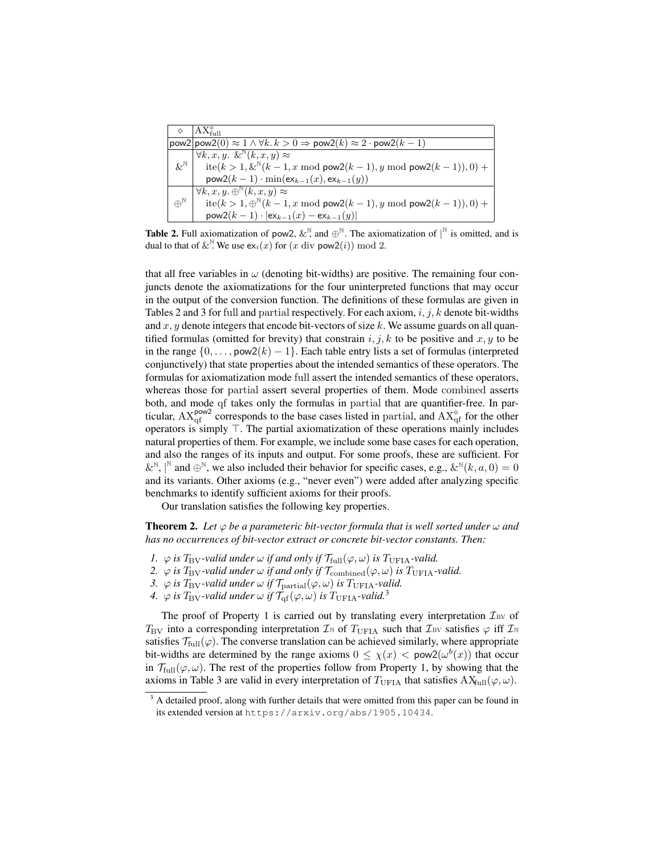| ♦                     | $ AX_{\rm full}^{\circ} $                                                                                                 |
|-----------------------|---------------------------------------------------------------------------------------------------------------------------|
|                       | $\text{pow2} \text{pow2}(0) \approx 1 \land \forall k. k > 0 \Rightarrow \text{pow2}(k) \approx 2 \cdot \text{pow2}(k-1)$ |
|                       | $\overline{\forall k, x, y}$ . $\&^{\mathbb{N}}(k, x, y) \approx$                                                         |
| $\&^{\mathbb{N}}$     | ite( $k > 1$ , $\&^{\mathbb{N}}(k-1, x \mod p \text{ow2}(k-1), y \mod p \text{ow2}(k-1)), 0) +$                           |
|                       | $pow2(k-1) \cdot min(ex_{k-1}(x), ex_{k-1}(y))$                                                                           |
|                       | $\forall k, x, y \in \mathbb{P}^{\mathbb{N}}(k, x, y) \approx$                                                            |
| $\oplus^{\mathbb{N}}$ | ite( $k > 1$ , $\bigoplus^{\mathbb{N}} (k-1, x \mod p$ ow $2(k-1), y \mod p$ ow $2(k-1), 0)$ +                            |
|                       | $\text{pow2}(k-1) \cdot  \text{ex}_{k-1}(x) - \text{ex}_{k-1}(y) $                                                        |

<span id="page-8-0"></span>**Table 2.** Full axiomatization of pow2,  $\&^{\mathbb{N}}$ , and  $\oplus^{\mathbb{N}}$ . The axiomatization of  $|^{\mathbb{N}}$  is omitted, and is dual to that of  $\&^{\mathbb{N}}$ . We use  $ex_i(x)$  for  $(x \text{ div } \text{pow2}(i)) \text{ mod } 2$ .

that all free variables in  $\omega$  (denoting bit-widths) are positive. The remaining four conjuncts denote the axiomatizations for the four uninterpreted functions that may occur in the output of the conversion function. The definitions of these formulas are given in Tables [2](#page-8-0) and [3](#page-9-1) for full and partial respectively. For each axiom,  $i, j, k$  denote bit-widths and  $x, y$  denote integers that encode bit-vectors of size  $k$ . We assume guards on all quantified formulas (omitted for brevity) that constrain i, j, k to be positive and x, y to be in the range  $\{0, \ldots, \text{pow2}(k) - 1\}$ . Each table entry lists a set of formulas (interpreted conjunctively) that state properties about the intended semantics of these operators. The formulas for axiomatization mode full assert the intended semantics of these operators, whereas those for partial assert several properties of them. Mode combined asserts both, and mode qf takes only the formulas in partial that are quantifier-free. In particular,  $AX_{\text{qf}}^{\text{pow2}}$  corresponds to the base cases listed in partial, and  $AX_{\text{qf}}^{\diamond}$  for the other operators is simply  $\top$ . The partial axiomatization of these operations mainly includes natural properties of them. For example, we include some base cases for each operation, and also the ranges of its inputs and output. For some proofs, these are sufficient. For  $\&^{\mathbb{N}}, \, \vert^{\mathbb{N}}$  and  $\oplus^{\mathbb{N}},$  we also included their behavior for specific cases, e.g.,  $\&^{\mathbb{N}}(k, a, 0) = 0$ and its variants. Other axioms (e.g., "never even") were added after analyzing specific benchmarks to identify sufficient axioms for their proofs.

Our translation satisfies the following key properties.

**Theorem 2.** Let  $\varphi$  be a parameteric bit-vector formula that is well sorted under  $\omega$  and *has no occurrences of bit-vector extract or concrete bit-vector constants. Then:*

- *1.*  $\varphi$  *is*  $T_{\text{BV}}$ *-valid under*  $\omega$  *if and only if*  $\mathcal{T}_{\text{full}}(\varphi, \omega)$  *is*  $T_{\text{UFIA}}$ *-valid.*
- *2.*  $\varphi$  *is*  $T_{BV}$ *-valid under*  $\omega$  *if and only if*  $\mathcal{T}_{combined}(\varphi, \omega)$  *is*  $T_{UFIA}$ *-valid.*
- *3.*  $\varphi$  *is*  $T_{\text{BV}}$ *-valid under*  $\omega$  *if*  $\mathcal{T}_{\text{partial}}(\varphi, \omega)$  *is*  $T_{\text{UFIA}}$ *-valid.*
- *4.*  $\varphi$  *is*  $T_{\text{BV}}$ *-valid under*  $\omega$  *if*  $\mathcal{T}_{\text{qf}}(\varphi, \omega)$  *is*  $T_{\text{UFIA}}$ *-valid.*<sup>[3](#page-8-1)</sup>

The proof of Property 1 is carried out by translating every interpretation  $\mathcal{I}_{BV}$  of  $T_{\rm BV}$  into a corresponding interpretation  $\mathcal{I}_{\rm N}$  of  $T_{\rm UFIA}$  such that  $\mathcal{I}_{\rm BV}$  satisfies  $\varphi$  iff  $\mathcal{I}_{\rm N}$ satisfies  $\mathcal{T}_{full}(\varphi)$ . The converse translation can be achieved similarly, where appropriate bit-widths are determined by the range axioms  $0 \le \chi(x) < \text{pow2}(\omega^b(x))$  that occur in  $\mathcal{T}_{\text{full}}(\varphi,\omega)$ . The rest of the properties follow from Property 1, by showing that the axioms in Table [3](#page-9-1) are valid in every interpretation of  $T_{\text{UFIA}}$  that satisfies  $\text{AX}_{\text{full}}(\varphi,\omega)$ .

<span id="page-8-1"></span> $3$  A detailed proof, along with further details that were omitted from this paper can be found in its extended version at <https://arxiv.org/abs/1905.10434>.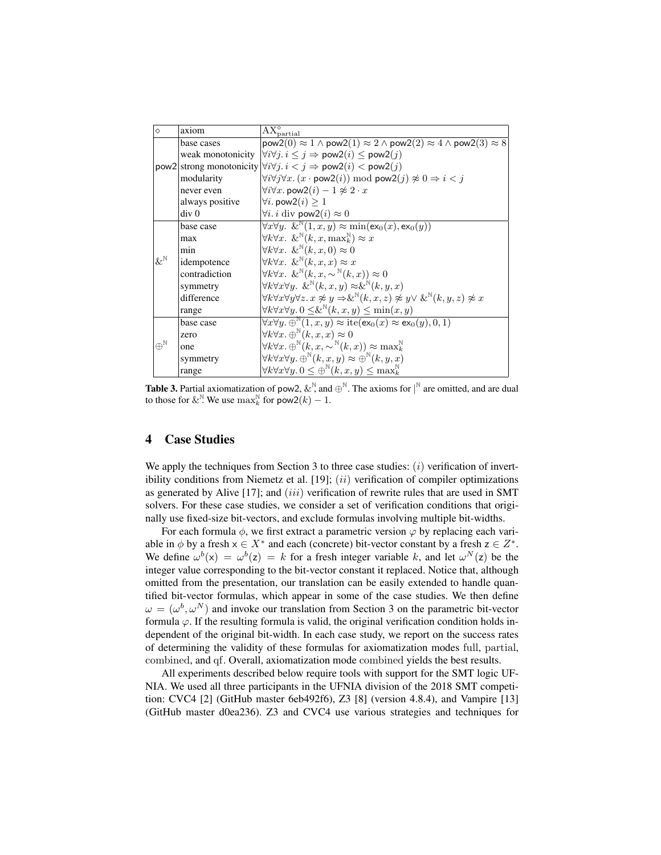| $\Diamond$            | axiom                                                                                                                         | $\overline{\mathrm{AX}}{}^\diamond_\mathrm{partial}$                                                                                                      |  |  |  |
|-----------------------|-------------------------------------------------------------------------------------------------------------------------------|-----------------------------------------------------------------------------------------------------------------------------------------------------------|--|--|--|
|                       | base cases                                                                                                                    | $\text{pow2}(0) \approx 1 \land \text{pow2}(1) \approx 2 \land \text{pow2}(2) \approx 4 \land \text{pow2}(3) \approx 8$                                   |  |  |  |
|                       | weak monotonicity                                                                                                             | $\forall i \forall j. i \leq j \Rightarrow \text{pow2}(i) \leq \text{pow2}(j)$                                                                            |  |  |  |
|                       |                                                                                                                               | pow2 strong monotonicity $\forall i \forall j$ . $i < j \Rightarrow$ pow2(i) < pow2(j)                                                                    |  |  |  |
|                       | $\forall i \forall j \forall x \ (x \cdot \text{pow2}(i)) \bmod \text{pow2}(j) \not\approx 0 \Rightarrow i < j$<br>modularity |                                                                                                                                                           |  |  |  |
|                       | never even                                                                                                                    | $\forall i \forall x.$ pow $2(i) - 1 \not\approx 2 \cdot x$                                                                                               |  |  |  |
|                       | always positive                                                                                                               | $\forall i.$ pow $2(i) \geq 1$                                                                                                                            |  |  |  |
|                       | div <sub>0</sub>                                                                                                              | $\forall i. i$ div pow $2(i) \approx 0$                                                                                                                   |  |  |  |
|                       | base case                                                                                                                     | $\forall x \forall y. \& \mathbb{N}(1, x, y) \approx \min(\exp(x), \exp(y))$                                                                              |  |  |  |
|                       | max                                                                                                                           | $\forall k \forall x. \& \mathbb{R}(k, x, \max_k \mathbb{R}) \approx x$                                                                                   |  |  |  |
|                       | min                                                                                                                           | $\forall k \forall x. \& \mathbb{R}(k, x, 0) \approx 0$                                                                                                   |  |  |  |
| $\&^{\mathbb{N}}$     | idempotence                                                                                                                   | $\forall k \forall x. \& \mathbb{R}(k, x, x) \approx x$                                                                                                   |  |  |  |
|                       | contradiction                                                                                                                 | $\forall k \forall x. \& \mathbb{N}(k, x, \sim \mathbb{N}(k, x)) \approx 0$                                                                               |  |  |  |
|                       | symmetry                                                                                                                      | $\forall k \forall x \forall y. \& \mathbb{R}(k, x, y) \approx \& \mathbb{R}(k, y, x)$                                                                    |  |  |  |
|                       | difference                                                                                                                    | $\forall k \forall x \forall y \forall z. x \not\approx y \Rightarrow \&^{\mathbb{N}}(k, x, z) \not\approx y \lor \&^{\mathbb{N}}(k, y, z) \not\approx x$ |  |  |  |
|                       | range                                                                                                                         | $\forall k \forall x \forall y \in 0 \leq \&^{\mathbb{N}}(k, x, y) \leq \min(x, y)$                                                                       |  |  |  |
|                       | base case                                                                                                                     | $\forall x \forall y \in \mathbb{P}^{\mathbb{N}}(1,x,y) \approx \text{ite}(\textsf{ex}_{0}(x) \approx \textsf{ex}_{0}(y),0,1)$                            |  |  |  |
|                       | zero                                                                                                                          | $\forall k \forall x \in \mathbb{R}^{\mathbb{N}}(k, x, x) \approx 0$                                                                                      |  |  |  |
| $\oplus^{\mathbb{N}}$ | one                                                                                                                           | $\forall k \forall x \in \mathbb{P}^{\mathbb{N}}(k, x, \sim^{\mathbb{N}}(k, x)) \approx \max_{k}^{\mathbb{N}}$                                            |  |  |  |
|                       | symmetry                                                                                                                      | $\forall k \forall x \forall y \in \mathbb{P}^{\mathbb{N}}(k, x, y) \approx \oplus^{\mathbb{N}}(k, y, x)$                                                 |  |  |  |
|                       | range                                                                                                                         | $\forall k \forall x \forall y \in 0 \leq \oplus^{\mathbb{N}} (k, x, y) \leq \max_{k}^{\mathbb{N}}$                                                       |  |  |  |

<span id="page-9-1"></span>**Table 3.** Partial axiomatization of pow2,  $\&^{\mathbb{N}}$  and  $\oplus^{\mathbb{N}}$ . The axioms for  $|^{\mathbb{N}}$  are omitted, and are dual to those for  $\&^{\mathbb{N}}$ . We use  $\max_k^{\mathbb{N}}$  for  $\mathsf{pow2}(k) - 1$ .

# <span id="page-9-0"></span>4 Case Studies

We apply the techniques from Section [3](#page-5-0) to three case studies:  $(i)$  verification of invert-ibility conditions from Niemetz et al. [\[19\]](#page-16-1);  $(ii)$  verification of compiler optimizations as generated by Alive  $[17]$ ; and  $(iii)$  verification of rewrite rules that are used in SMT solvers. For these case studies, we consider a set of verification conditions that originally use fixed-size bit-vectors, and exclude formulas involving multiple bit-widths.

For each formula  $\phi$ , we first extract a parametric version  $\varphi$  by replacing each variable in  $\phi$  by a fresh  $x \in X^*$  and each (concrete) bit-vector constant by a fresh  $z \in Z^*$ . We define  $\omega^{b}(x) = \omega^{b}(z) = k$  for a fresh integer variable k, and let  $\omega^{N}(z)$  be the integer value corresponding to the bit-vector constant it replaced. Notice that, although omitted from the presentation, our translation can be easily extended to handle quantified bit-vector formulas, which appear in some of the case studies. We then define  $\omega = (\omega^b, \omega^N)$  and invoke our translation from Section [3](#page-5-0) on the parametric bit-vector formula  $\varphi$ . If the resulting formula is valid, the original verification condition holds independent of the original bit-width. In each case study, we report on the success rates of determining the validity of these formulas for axiomatization modes full, partial, combined, and qf. Overall, axiomatization mode combined yields the best results.

All experiments described below require tools with support for the SMT logic UF-NIA. We used all three participants in the UFNIA division of the 2018 SMT competition: CVC4 [\[2\]](#page-15-8) (GitHub master 6eb492f6), Z3 [\[8\]](#page-15-9) (version 4.8.4), and Vampire [\[13\]](#page-15-10) (GitHub master d0ea236). Z3 and CVC4 use various strategies and techniques for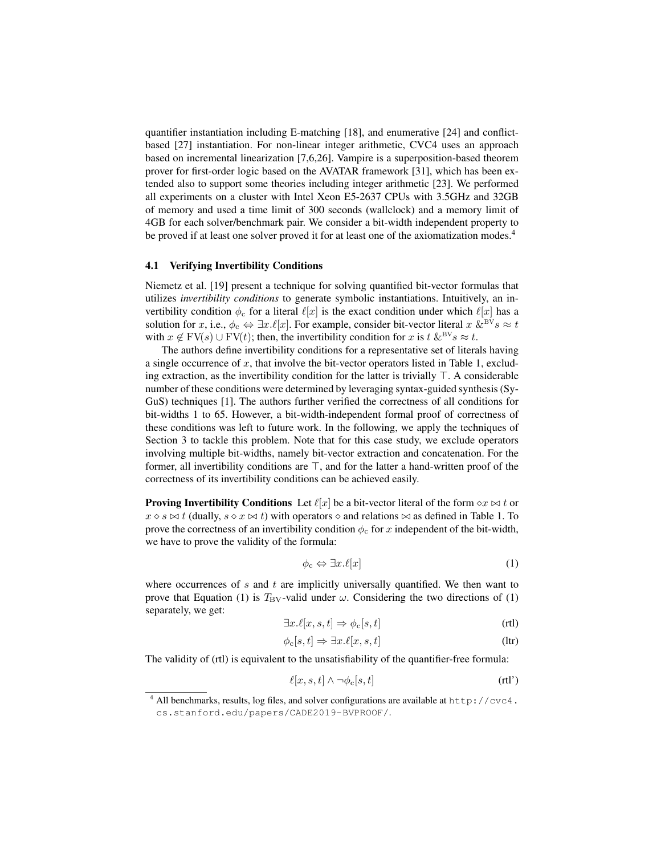quantifier instantiation including E-matching [\[18\]](#page-16-4), and enumerative [\[24\]](#page-16-5) and conflictbased [\[27\]](#page-16-6) instantiation. For non-linear integer arithmetic, CVC4 uses an approach based on incremental linearization [\[7,](#page-15-11)[6,](#page-15-12)[26\]](#page-16-7). Vampire is a superposition-based theorem prover for first-order logic based on the AVATAR framework [\[31\]](#page-17-3), which has been extended also to support some theories including integer arithmetic [\[23\]](#page-16-8). We performed all experiments on a cluster with Intel Xeon E5-2637 CPUs with 3.5GHz and 32GB of memory and used a time limit of 300 seconds (wallclock) and a memory limit of 4GB for each solver/benchmark pair. We consider a bit-width independent property to be proved if at least one solver proved it for at least one of the axiomatization modes.<sup>[4](#page-10-0)</sup>

#### 4.1 Verifying Invertibility Conditions

Niemetz et al. [\[19\]](#page-16-1) present a technique for solving quantified bit-vector formulas that utilizes *invertibility conditions* to generate symbolic instantiations. Intuitively, an invertibility condition  $\phi_c$  for a literal  $\ell[x]$  is the exact condition under which  $\ell[x]$  has a solution for x, i.e.,  $\phi_c \Leftrightarrow \exists x.\ell[x]$ . For example, consider bit-vector literal  $x \&\overset{BV}{B}S \approx t$ with  $x \notin FV(s) \cup FV(t)$ ; then, the invertibility condition for x is  $t \&^{BV} s \approx t$ .

The authors define invertibility conditions for a representative set of literals having a single occurrence of  $x$ , that involve the bit-vector operators listed in Table [1,](#page-2-0) excluding extraction, as the invertibility condition for the latter is trivially  $\top$ . A considerable number of these conditions were determined by leveraging syntax-guided synthesis (Sy-GuS) techniques [\[1\]](#page-15-13). The authors further verified the correctness of all conditions for bit-widths 1 to 65. However, a bit-width-independent formal proof of correctness of these conditions was left to future work. In the following, we apply the techniques of Section [3](#page-5-0) to tackle this problem. Note that for this case study, we exclude operators involving multiple bit-widths, namely bit-vector extraction and concatenation. For the former, all invertibility conditions are  $\top$ , and for the latter a hand-written proof of the correctness of its invertibility conditions can be achieved easily.

**Proving Invertibility Conditions** Let  $\ell[x]$  be a bit-vector literal of the form  $\circ x \bowtie t$  or  $x \diamond s \bowtie t$  (dually,  $s \diamond x \bowtie t$ ) with operators  $\diamond$  and relations  $\bowtie$  as defined in Table [1.](#page-2-0) To prove the correctness of an invertibility condition  $\phi_c$  for x independent of the bit-width, we have to prove the validity of the formula:

<span id="page-10-3"></span><span id="page-10-2"></span><span id="page-10-1"></span>
$$
\phi_c \Leftrightarrow \exists x. \ell[x] \tag{1}
$$

where occurrences of  $s$  and  $t$  are implicitly universally quantified. We then want to prove that Equation [\(1\)](#page-10-1) is  $T_{\rm BV}$ -valid under  $\omega$ . Considering the two directions of (1) separately, we get:

$$
\exists x. \ell[x, s, t] \Rightarrow \phi_c[s, t]
$$
 (rtl)

$$
\phi_{\rm c}[s,t] \Rightarrow \exists x. \ell[x,s,t] \tag{11}
$$

The validity of [\(rtl\)](#page-10-2) is equivalent to the unsatisfiability of the quantifier-free formula:

<span id="page-10-4"></span>
$$
\ell[x,s,t] \wedge \neg \phi_c[s,t] \tag{rtl'}
$$

<span id="page-10-0"></span><sup>&</sup>lt;sup>4</sup> All benchmarks, results, log files, and solver configurations are available at [http://cvc4.](http://cvc4.cs.stanford.edu/papers/CADE2019-BVPROOF/) [cs.stanford.edu/papers/CADE2019-BVPROOF/](http://cvc4.cs.stanford.edu/papers/CADE2019-BVPROOF/).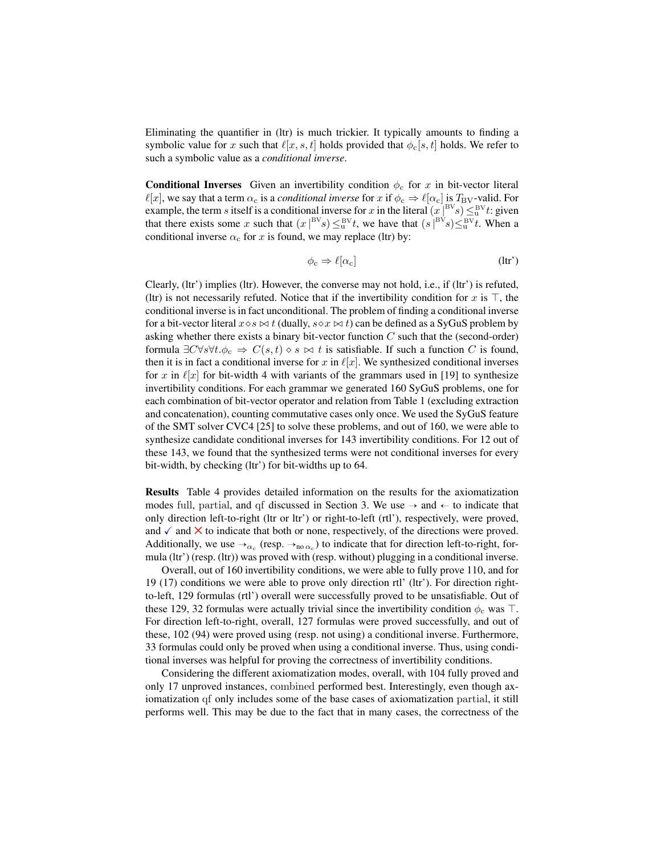Eliminating the quantifier in [\(ltr\)](#page-10-3) is much trickier. It typically amounts to finding a symbolic value for x such that  $\ell[x, s, t]$  holds provided that  $\phi_c[s, t]$  holds. We refer to such a symbolic value as a *conditional inverse*.

**Conditional Inverses** Given an invertibility condition  $\phi_c$  for x in bit-vector literal  $\ell[x]$ , we say that a term  $\alpha_c$  is a *conditional inverse* for x if  $\phi_c \Rightarrow \ell[\alpha_c]$  is  $T_{\rm BV}$ -valid. For example, the term s itself is a conditional inverse for x in the literal  $(x \vert^{BV} s) \leq_u^{BV} t$ : given that there exists some x such that  $(x \vert^{BV} s) \leq_u^{BV} t$ , we have that  $(s \vert^{BV} s) \leq_u^{BV} t$ . When a conditional inverse  $\alpha_c$  for x is found, we may replace [\(ltr\)](#page-10-3) by:

<span id="page-11-0"></span>
$$
\phi_{\rm c} \Rightarrow \ell[\alpha_{\rm c}] \tag{1tr'}
$$

Clearly, [\(ltr'\)](#page-11-0) implies [\(ltr\)](#page-10-3). However, the converse may not hold, i.e., if [\(ltr'\)](#page-11-0) is refuted, [\(ltr\)](#page-10-3) is not necessarily refuted. Notice that if the invertibility condition for x is  $\top$ , the conditional inverse is in fact unconditional. The problem of finding a conditional inverse for a bit-vector literal  $x \diamond s \bowtie t$  (dually,  $s \diamond x \bowtie t$ ) can be defined as a SyGuS problem by asking whether there exists a binary bit-vector function  $C$  such that the (second-order) formula  $\exists C \forall s \forall t.\phi_c \Rightarrow C(s,t) \diamond s \Join t$  is satisfiable. If such a function C is found, then it is in fact a conditional inverse for x in  $\ell[x]$ . We synthesized conditional inverses for x in  $\ell[x]$  for bit-width 4 with variants of the grammars used in [\[19\]](#page-16-1) to synthesize invertibility conditions. For each grammar we generated 160 SyGuS problems, one for each combination of bit-vector operator and relation from Table [1](#page-2-0) (excluding extraction and concatenation), counting commutative cases only once. We used the SyGuS feature of the SMT solver CVC4 [\[25\]](#page-16-9) to solve these problems, and out of 160, we were able to synthesize candidate conditional inverses for 143 invertibility conditions. For 12 out of these 143, we found that the synthesized terms were not conditional inverses for every bit-width, by checking [\(ltr'\)](#page-11-0) for bit-widths up to 64.

Results Table [4](#page-12-0) provides detailed information on the results for the axiomatization modes full, partial, and qf discussed in Section [3.](#page-5-0) We use  $\rightarrow$  and  $\leftarrow$  to indicate that only direction left-to-right [\(ltr](#page-10-3) or [ltr'\)](#page-11-0) or right-to-left [\(rtl'\)](#page-10-4), respectively, were proved, and  $\checkmark$  and  $\checkmark$  to indicate that both or none, respectively, of the directions were proved. Additionally, we use  $\rightarrow_{\alpha_c}$  (resp.  $\rightarrow_{\text{no }\alpha_c}$ ) to indicate that for direction left-to-right, formula [\(ltr'\)](#page-11-0) (resp. [\(ltr\)](#page-10-3)) was proved with (resp. without) plugging in a conditional inverse.

Overall, out of 160 invertibility conditions, we were able to fully prove 110, and for 19 (17) conditions we were able to prove only direction [rtl'](#page-10-4) [\(ltr'\)](#page-11-0). For direction rightto-left, 129 formulas [\(rtl'\)](#page-10-4) overall were successfully proved to be unsatisfiable. Out of these 129, 32 formulas were actually trivial since the invertibility condition  $\phi_c$  was  $\top$ . For direction left-to-right, overall, 127 formulas were proved successfully, and out of these, 102 (94) were proved using (resp. not using) a conditional inverse. Furthermore, 33 formulas could only be proved when using a conditional inverse. Thus, using conditional inverses was helpful for proving the correctness of invertibility conditions.

Considering the different axiomatization modes, overall, with 104 fully proved and only 17 unproved instances, combined performed best. Interestingly, even though axiomatization qf only includes some of the base cases of axiomatization partial, it still performs well. This may be due to the fact that in many cases, the correctness of the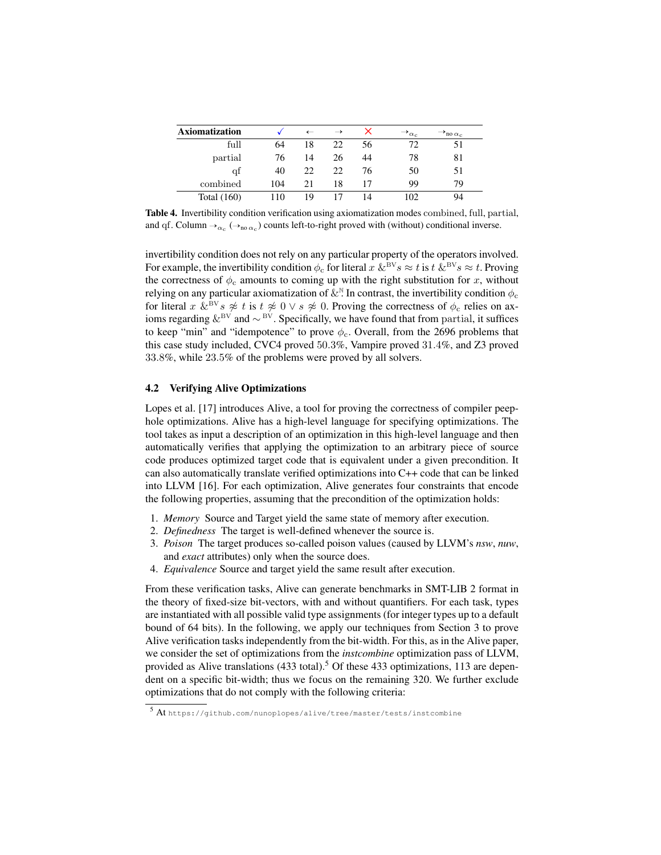| Axiomatization |     | $\leftarrow$ | $\rightarrow$ |    | $\rightarrow_{\alpha_c}$ | $\rightarrow$ no $\alpha_c$ |
|----------------|-----|--------------|---------------|----|--------------------------|-----------------------------|
| full           | 64  | 18           | 22            | 56 | 72                       | 51                          |
| partial        | 76  | 14           | 26            | 44 | 78                       | 81                          |
| qt             | 40  | 22           | 22            | 76 | 50                       | 51                          |
| combined       | 104 | 21           | 18            |    | 99                       | 79                          |
| Total $(160)$  | 110 | 19           |               | 14 | 102                      | 94                          |

<span id="page-12-0"></span>Table 4. Invertibility condition verification using axiomatization modes combined, full, partial, and qf. Column  $\rightarrow_{\alpha_c} (\rightarrow_{\text{no }\alpha_c})$  counts left-to-right proved with (without) conditional inverse.

invertibility condition does not rely on any particular property of the operators involved. For example, the invertibility condition  $\phi_c$  for literal  $x \&<sup>BV</sup> s \approx t$  is  $t \&<sup>BV</sup> s \approx t$ . Proving the correctness of  $\phi_c$  amounts to coming up with the right substitution for x, without relying on any particular axiomatization of  $\&$ <sup>N</sup>. In contrast, the invertibility condition  $\phi_c$ for literal x  $\&^{BV}s \not\approx t$  is  $t \not\approx 0 \vee s \not\approx 0$ . Proving the correctness of  $\phi_c$  relies on axioms regarding  $&^{BV}$  and  $\sim^{BV}$ . Specifically, we have found that from partial, it suffices to keep "min" and "idempotence" to prove  $\phi_c$ . Overall, from the 2696 problems that this case study included, CVC4 proved 50.3%, Vampire proved 31.4%, and Z3 proved 33.8%, while 23.5% of the problems were proved by all solvers.

#### 4.2 Verifying Alive Optimizations

Lopes et al. [\[17\]](#page-16-2) introduces Alive, a tool for proving the correctness of compiler peephole optimizations. Alive has a high-level language for specifying optimizations. The tool takes as input a description of an optimization in this high-level language and then automatically verifies that applying the optimization to an arbitrary piece of source code produces optimized target code that is equivalent under a given precondition. It can also automatically translate verified optimizations into C++ code that can be linked into LLVM [\[16\]](#page-16-10). For each optimization, Alive generates four constraints that encode the following properties, assuming that the precondition of the optimization holds:

- <span id="page-12-2"></span>1. *Memory* Source and Target yield the same state of memory after execution.
- 2. *Definedness* The target is well-defined whenever the source is.
- <span id="page-12-4"></span>3. *Poison* The target produces so-called poison values (caused by LLVM's *nsw*, *nuw*, and *exact* attributes) only when the source does.
- <span id="page-12-3"></span>4. *Equivalence* Source and target yield the same result after execution.

From these verification tasks, Alive can generate benchmarks in SMT-LIB 2 format in the theory of fixed-size bit-vectors, with and without quantifiers. For each task, types are instantiated with all possible valid type assignments (for integer types up to a default bound of 64 bits). In the following, we apply our techniques from Section [3](#page-5-0) to prove Alive verification tasks independently from the bit-width. For this, as in the Alive paper, we consider the set of optimizations from the *instcombine* optimization pass of LLVM, provided as Alive translations (433 total).<sup>[5](#page-12-1)</sup> Of these 433 optimizations, 113 are dependent on a specific bit-width; thus we focus on the remaining 320. We further exclude optimizations that do not comply with the following criteria:

<span id="page-12-1"></span><sup>5</sup> At <https://github.com/nunoplopes/alive/tree/master/tests/instcombine>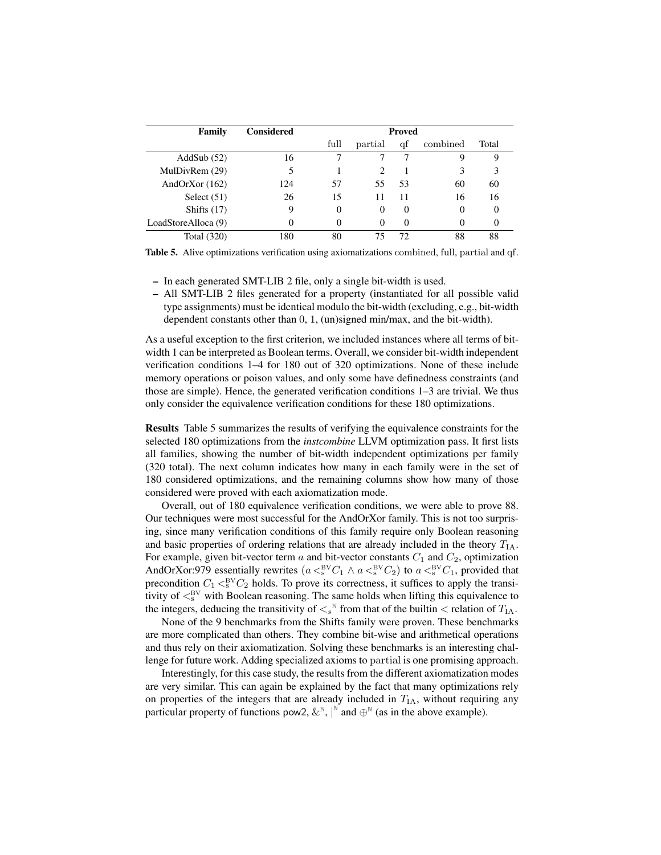| Family              | Considered | <b>Proved</b> |                               |          |          |                  |
|---------------------|------------|---------------|-------------------------------|----------|----------|------------------|
|                     |            | full          | partial                       | qf       | combined | Total            |
| AddSub(52)          | 16         |               |                               |          | 9        | 9                |
| MulDivRem (29)      |            |               | $\mathfrak{D}_{\mathfrak{p}}$ |          | 3        |                  |
| AndOrXor $(162)$    | 124        | 57            | 55.                           | 53       | 60       | 60               |
| Select $(51)$       | 26         | 15            |                               | 11       | 16       | 16               |
| Shifts $(17)$       | Q          | $\Omega$      | 0                             | $\Omega$ | 0        | $\left( \right)$ |
| LoadStoreAlloca (9) |            |               | $\theta$                      | $\Omega$ | 0        |                  |
| Total (320)         | 180        | 80            | 75                            | 72       | 88       | 88               |

<span id="page-13-0"></span>Table 5. Alive optimizations verification using axiomatizations combined, full, partial and qf.

- In each generated SMT-LIB 2 file, only a single bit-width is used.
- All SMT-LIB 2 files generated for a property (instantiated for all possible valid type assignments) must be identical modulo the bit-width (excluding, e.g., bit-width dependent constants other than 0, 1, (un)signed min/max, and the bit-width).

As a useful exception to the first criterion, we included instances where all terms of bitwidth 1 can be interpreted as Boolean terms. Overall, we consider bit-width independent verification conditions [1](#page-12-2)[–4](#page-12-3) for 180 out of 320 optimizations. None of these include memory operations or poison values, and only some have definedness constraints (and those are simple). Hence, the generated verification conditions [1](#page-12-2)[–3](#page-12-4) are trivial. We thus only consider the equivalence verification conditions for these 180 optimizations.

Results Table [5](#page-13-0) summarizes the results of verifying the equivalence constraints for the selected 180 optimizations from the *instcombine* LLVM optimization pass. It first lists all families, showing the number of bit-width independent optimizations per family (320 total). The next column indicates how many in each family were in the set of 180 considered optimizations, and the remaining columns show how many of those considered were proved with each axiomatization mode.

Overall, out of 180 equivalence verification conditions, we were able to prove 88. Our techniques were most successful for the AndOrXor family. This is not too surprising, since many verification conditions of this family require only Boolean reasoning and basic properties of ordering relations that are already included in the theory  $T_{IA}$ . For example, given bit-vector term  $a$  and bit-vector constants  $C_1$  and  $C_2$ , optimization AndOrXor:979 essentially rewrites  $(a <sub>s</sub><sup>BV</sup>C<sub>1</sub> \wedge a <sub>s</sub><sup>BV</sup>C<sub>2</sub>)$  to  $a <sub>s</sub><sup>BV</sup>C<sub>1</sub>$ , provided that precondition  $C_1 <sub>s</sub><sup>BV</sup>C_2$  holds. To prove its correctness, it suffices to apply the transitivity of  $\langle S^{\rm BV}_{\rm s}$  with Boolean reasoning. The same holds when lifting this equivalence to the integers, deducing the transitivity of  $\langle s \rangle^N$  from that of the builtin  $\langle$  relation of  $T_{IA}$ .

None of the 9 benchmarks from the Shifts family were proven. These benchmarks are more complicated than others. They combine bit-wise and arithmetical operations and thus rely on their axiomatization. Solving these benchmarks is an interesting challenge for future work. Adding specialized axioms to partial is one promising approach.

Interestingly, for this case study, the results from the different axiomatization modes are very similar. This can again be explained by the fact that many optimizations rely on properties of the integers that are already included in  $T<sub>IA</sub>$ , without requiring any particular property of functions pow2,  $\&^{\mathbb{N}}$ ,  $\right|^{\mathbb{N}}$  and  $\bigoplus^{\mathbb{N}}$  (as in the above example).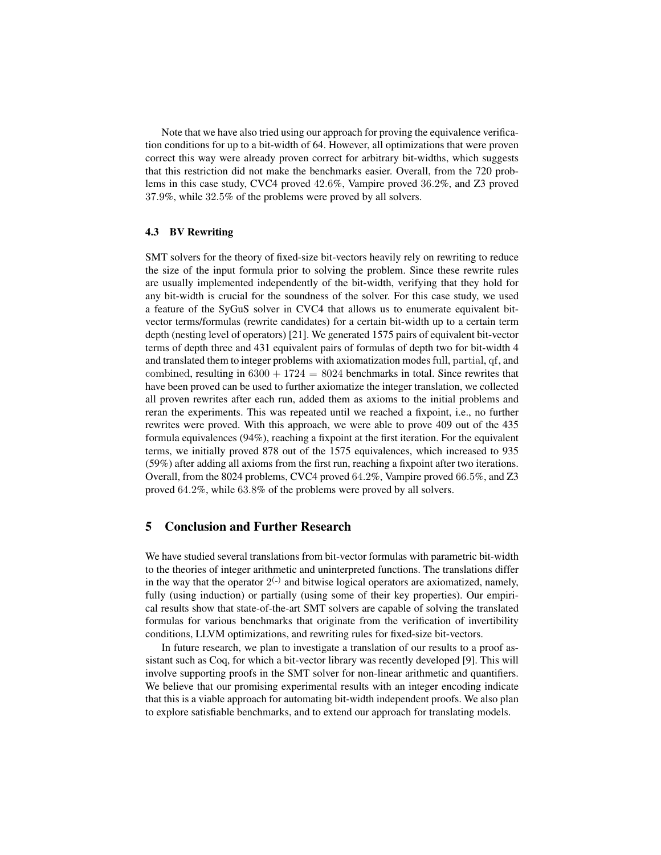Note that we have also tried using our approach for proving the equivalence verification conditions for up to a bit-width of 64. However, all optimizations that were proven correct this way were already proven correct for arbitrary bit-widths, which suggests that this restriction did not make the benchmarks easier. Overall, from the 720 problems in this case study, CVC4 proved 42.6%, Vampire proved 36.2%, and Z3 proved 37.9%, while 32.5% of the problems were proved by all solvers.

### 4.3 BV Rewriting

SMT solvers for the theory of fixed-size bit-vectors heavily rely on rewriting to reduce the size of the input formula prior to solving the problem. Since these rewrite rules are usually implemented independently of the bit-width, verifying that they hold for any bit-width is crucial for the soundness of the solver. For this case study, we used a feature of the SyGuS solver in CVC4 that allows us to enumerate equivalent bitvector terms/formulas (rewrite candidates) for a certain bit-width up to a certain term depth (nesting level of operators) [\[21\]](#page-16-11). We generated 1575 pairs of equivalent bit-vector terms of depth three and 431 equivalent pairs of formulas of depth two for bit-width 4 and translated them to integer problems with axiomatization modes full, partial, qf, and combined, resulting in  $6300 + 1724 = 8024$  benchmarks in total. Since rewrites that have been proved can be used to further axiomatize the integer translation, we collected all proven rewrites after each run, added them as axioms to the initial problems and reran the experiments. This was repeated until we reached a fixpoint, i.e., no further rewrites were proved. With this approach, we were able to prove 409 out of the 435 formula equivalences (94%), reaching a fixpoint at the first iteration. For the equivalent terms, we initially proved 878 out of the 1575 equivalences, which increased to 935 (59%) after adding all axioms from the first run, reaching a fixpoint after two iterations. Overall, from the 8024 problems, CVC4 proved 64.2%, Vampire proved 66.5%, and Z3 proved 64.2%, while 63.8% of the problems were proved by all solvers.

# 5 Conclusion and Further Research

We have studied several translations from bit-vector formulas with parametric bit-width to the theories of integer arithmetic and uninterpreted functions. The translations differ in the way that the operator  $2^{(-)}$  and bitwise logical operators are axiomatized, namely, fully (using induction) or partially (using some of their key properties). Our empirical results show that state-of-the-art SMT solvers are capable of solving the translated formulas for various benchmarks that originate from the verification of invertibility conditions, LLVM optimizations, and rewriting rules for fixed-size bit-vectors.

In future research, we plan to investigate a translation of our results to a proof assistant such as Coq, for which a bit-vector library was recently developed [\[9\]](#page-15-14). This will involve supporting proofs in the SMT solver for non-linear arithmetic and quantifiers. We believe that our promising experimental results with an integer encoding indicate that this is a viable approach for automating bit-width independent proofs. We also plan to explore satisfiable benchmarks, and to extend our approach for translating models.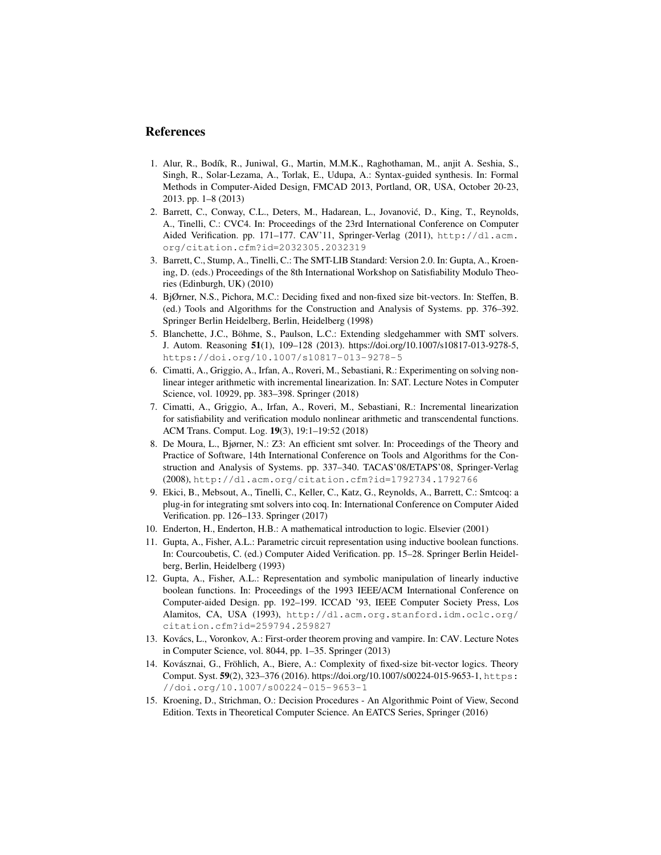### References

- <span id="page-15-13"></span>1. Alur, R., Bodík, R., Juniwal, G., Martin, M.M.K., Raghothaman, M., anjit A. Seshia, S., Singh, R., Solar-Lezama, A., Torlak, E., Udupa, A.: Syntax-guided synthesis. In: Formal Methods in Computer-Aided Design, FMCAD 2013, Portland, OR, USA, October 20-23, 2013. pp. 1–8 (2013)
- <span id="page-15-8"></span>2. Barrett, C., Conway, C.L., Deters, M., Hadarean, L., Jovanović, D., King, T., Reynolds, A., Tinelli, C.: CVC4. In: Proceedings of the 23rd International Conference on Computer Aided Verification. pp. 171–177. CAV'11, Springer-Verlag (2011), [http://dl.acm.](http://dl.acm.org/citation.cfm?id=2032305.2032319) [org/citation.cfm?id=2032305.2032319](http://dl.acm.org/citation.cfm?id=2032305.2032319)
- <span id="page-15-7"></span>3. Barrett, C., Stump, A., Tinelli, C.: The SMT-LIB Standard: Version 2.0. In: Gupta, A., Kroening, D. (eds.) Proceedings of the 8th International Workshop on Satisfiability Modulo Theories (Edinburgh, UK) (2010)
- <span id="page-15-4"></span>4. BjØrner, N.S., Pichora, M.C.: Deciding fixed and non-fixed size bit-vectors. In: Steffen, B. (ed.) Tools and Algorithms for the Construction and Analysis of Systems. pp. 376–392. Springer Berlin Heidelberg, Berlin, Heidelberg (1998)
- <span id="page-15-2"></span>5. Blanchette, J.C., Böhme, S., Paulson, L.C.: Extending sledgehammer with SMT solvers. J. Autom. Reasoning 51(1), 109–128 (2013). [https://doi.org/10.1007/s10817-013-9278-5,](https://doi.org/10.1007/s10817-013-9278-5) <https://doi.org/10.1007/s10817-013-9278-5>
- <span id="page-15-12"></span>6. Cimatti, A., Griggio, A., Irfan, A., Roveri, M., Sebastiani, R.: Experimenting on solving nonlinear integer arithmetic with incremental linearization. In: SAT. Lecture Notes in Computer Science, vol. 10929, pp. 383–398. Springer (2018)
- <span id="page-15-11"></span>7. Cimatti, A., Griggio, A., Irfan, A., Roveri, M., Sebastiani, R.: Incremental linearization for satisfiability and verification modulo nonlinear arithmetic and transcendental functions. ACM Trans. Comput. Log. 19(3), 19:1–19:52 (2018)
- <span id="page-15-9"></span>8. De Moura, L., Bjørner, N.: Z3: An efficient smt solver. In: Proceedings of the Theory and Practice of Software, 14th International Conference on Tools and Algorithms for the Construction and Analysis of Systems. pp. 337–340. TACAS'08/ETAPS'08, Springer-Verlag (2008), <http://dl.acm.org/citation.cfm?id=1792734.1792766>
- <span id="page-15-14"></span>9. Ekici, B., Mebsout, A., Tinelli, C., Keller, C., Katz, G., Reynolds, A., Barrett, C.: Smtcoq: a plug-in for integrating smt solvers into coq. In: International Conference on Computer Aided Verification. pp. 126–133. Springer (2017)
- <span id="page-15-3"></span>10. Enderton, H., Enderton, H.B.: A mathematical introduction to logic. Elsevier (2001)
- <span id="page-15-6"></span>11. Gupta, A., Fisher, A.L.: Parametric circuit representation using inductive boolean functions. In: Courcoubetis, C. (ed.) Computer Aided Verification. pp. 15–28. Springer Berlin Heidelberg, Berlin, Heidelberg (1993)
- <span id="page-15-5"></span>12. Gupta, A., Fisher, A.L.: Representation and symbolic manipulation of linearly inductive boolean functions. In: Proceedings of the 1993 IEEE/ACM International Conference on Computer-aided Design. pp. 192–199. ICCAD '93, IEEE Computer Society Press, Los Alamitos, CA, USA (1993), [http://dl.acm.org.stanford.idm.oclc.org/](http://dl.acm.org.stanford.idm.oclc.org/citation.cfm?id=259794.259827) [citation.cfm?id=259794.259827](http://dl.acm.org.stanford.idm.oclc.org/citation.cfm?id=259794.259827)
- <span id="page-15-10"></span>13. Kovács, L., Voronkov, A.: First-order theorem proving and vampire. In: CAV. Lecture Notes in Computer Science, vol. 8044, pp. 1–35. Springer (2013)
- <span id="page-15-0"></span>14. Kovásznai, G., Fröhlich, A., Biere, A.: Complexity of fixed-size bit-vector logics. Theory Comput. Syst. 59(2), 323–376 (2016). [https://doi.org/10.1007/s00224-015-9653-1,](https://doi.org/10.1007/s00224-015-9653-1) [https:](https://doi.org/10.1007/s00224-015-9653-1) [//doi.org/10.1007/s00224-015-9653-1](https://doi.org/10.1007/s00224-015-9653-1)
- <span id="page-15-1"></span>15. Kroening, D., Strichman, O.: Decision Procedures - An Algorithmic Point of View, Second Edition. Texts in Theoretical Computer Science. An EATCS Series, Springer (2016)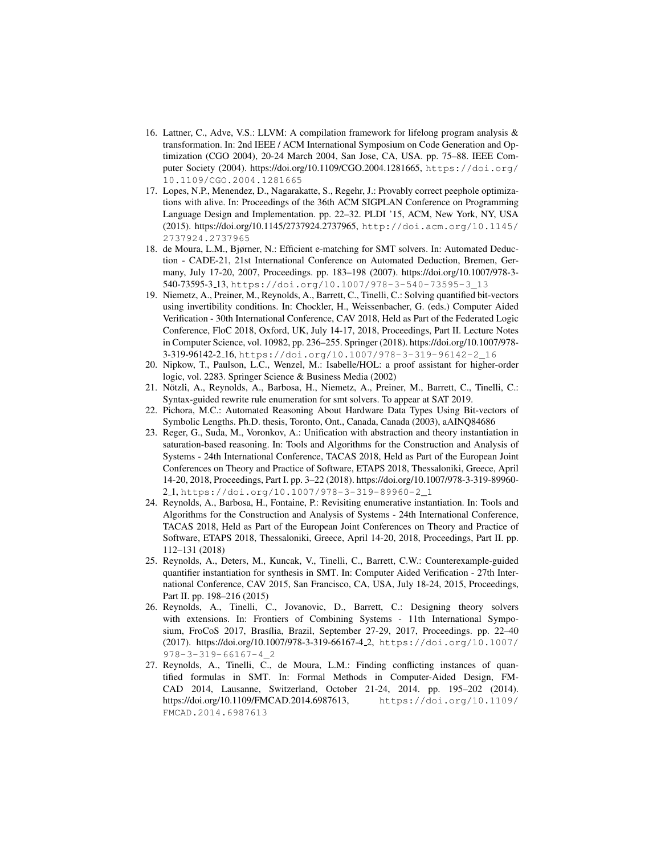- <span id="page-16-10"></span>16. Lattner, C., Adve, V.S.: LLVM: A compilation framework for lifelong program analysis & transformation. In: 2nd IEEE / ACM International Symposium on Code Generation and Optimization (CGO 2004), 20-24 March 2004, San Jose, CA, USA. pp. 75–88. IEEE Computer Society (2004). [https://doi.org/10.1109/CGO.2004.1281665,](https://doi.org/10.1109/CGO.2004.1281665) [https://doi.org/](https://doi.org/10.1109/CGO.2004.1281665) [10.1109/CGO.2004.1281665](https://doi.org/10.1109/CGO.2004.1281665)
- <span id="page-16-2"></span>17. Lopes, N.P., Menendez, D., Nagarakatte, S., Regehr, J.: Provably correct peephole optimizations with alive. In: Proceedings of the 36th ACM SIGPLAN Conference on Programming Language Design and Implementation. pp. 22–32. PLDI '15, ACM, New York, NY, USA (2015). [https://doi.org/10.1145/2737924.2737965,](https://doi.org/10.1145/2737924.2737965) [http://doi.acm.org/10.1145/](http://doi.acm.org/10.1145/2737924.2737965) [2737924.2737965](http://doi.acm.org/10.1145/2737924.2737965)
- <span id="page-16-4"></span>18. de Moura, L.M., Bjørner, N.: Efficient e-matching for SMT solvers. In: Automated Deduction - CADE-21, 21st International Conference on Automated Deduction, Bremen, Germany, July 17-20, 2007, Proceedings. pp. 183–198 (2007). [https://doi.org/10.1007/978-3-](https://doi.org/10.1007/978-3-540-73595-3_13) [540-73595-3](https://doi.org/10.1007/978-3-540-73595-3_13) 13, [https://doi.org/10.1007/978-3-540-73595-3\\_13](https://doi.org/10.1007/978-3-540-73595-3_13)
- <span id="page-16-1"></span>19. Niemetz, A., Preiner, M., Reynolds, A., Barrett, C., Tinelli, C.: Solving quantified bit-vectors using invertibility conditions. In: Chockler, H., Weissenbacher, G. (eds.) Computer Aided Verification - 30th International Conference, CAV 2018, Held as Part of the Federated Logic Conference, FloC 2018, Oxford, UK, July 14-17, 2018, Proceedings, Part II. Lecture Notes in Computer Science, vol. 10982, pp. 236–255. Springer (2018). [https://doi.org/10.1007/978-](https://doi.org/10.1007/978-3-319-96142-2_16) [3-319-96142-2](https://doi.org/10.1007/978-3-319-96142-2_16) 16, [https://doi.org/10.1007/978-3-319-96142-2\\_16](https://doi.org/10.1007/978-3-319-96142-2_16)
- <span id="page-16-0"></span>20. Nipkow, T., Paulson, L.C., Wenzel, M.: Isabelle/HOL: a proof assistant for higher-order logic, vol. 2283. Springer Science & Business Media (2002)
- <span id="page-16-11"></span>21. Notzli, A., Reynolds, A., Barbosa, H., Niemetz, A., Preiner, M., Barrett, C., Tinelli, C.: ¨ Syntax-guided rewrite rule enumeration for smt solvers. To appear at SAT 2019.
- <span id="page-16-3"></span>22. Pichora, M.C.: Automated Reasoning About Hardware Data Types Using Bit-vectors of Symbolic Lengths. Ph.D. thesis, Toronto, Ont., Canada, Canada (2003), aAINQ84686
- <span id="page-16-8"></span>23. Reger, G., Suda, M., Voronkov, A.: Unification with abstraction and theory instantiation in saturation-based reasoning. In: Tools and Algorithms for the Construction and Analysis of Systems - 24th International Conference, TACAS 2018, Held as Part of the European Joint Conferences on Theory and Practice of Software, ETAPS 2018, Thessaloniki, Greece, April 14-20, 2018, Proceedings, Part I. pp. 3–22 (2018). [https://doi.org/10.1007/978-3-319-89960-](https://doi.org/10.1007/978-3-319-89960-2_1) 2 [1,](https://doi.org/10.1007/978-3-319-89960-2_1) [https://doi.org/10.1007/978-3-319-89960-2\\_1](https://doi.org/10.1007/978-3-319-89960-2_1)
- <span id="page-16-5"></span>24. Reynolds, A., Barbosa, H., Fontaine, P.: Revisiting enumerative instantiation. In: Tools and Algorithms for the Construction and Analysis of Systems - 24th International Conference, TACAS 2018, Held as Part of the European Joint Conferences on Theory and Practice of Software, ETAPS 2018, Thessaloniki, Greece, April 14-20, 2018, Proceedings, Part II. pp. 112–131 (2018)
- <span id="page-16-9"></span>25. Reynolds, A., Deters, M., Kuncak, V., Tinelli, C., Barrett, C.W.: Counterexample-guided quantifier instantiation for synthesis in SMT. In: Computer Aided Verification - 27th International Conference, CAV 2015, San Francisco, CA, USA, July 18-24, 2015, Proceedings, Part II. pp. 198–216 (2015)
- <span id="page-16-7"></span>26. Reynolds, A., Tinelli, C., Jovanovic, D., Barrett, C.: Designing theory solvers with extensions. In: Frontiers of Combining Systems - 11th International Symposium, FroCoS 2017, Brasília, Brazil, September 27-29, 2017, Proceedings. pp. 22-40 (2017). [https://doi.org/10.1007/978-3-319-66167-4](https://doi.org/10.1007/978-3-319-66167-4_2) 2, [https://doi.org/10.1007/](https://doi.org/10.1007/978-3-319-66167-4_2) [978-3-319-66167-4\\_2](https://doi.org/10.1007/978-3-319-66167-4_2)
- <span id="page-16-6"></span>27. Reynolds, A., Tinelli, C., de Moura, L.M.: Finding conflicting instances of quantified formulas in SMT. In: Formal Methods in Computer-Aided Design, FM-CAD 2014, Lausanne, Switzerland, October 21-24, 2014. pp. 195–202 (2014). [https://doi.org/10.1109/FMCAD.2014.6987613,](https://doi.org/10.1109/FMCAD.2014.6987613) [https://doi.org/10.1109/](https://doi.org/10.1109/FMCAD.2014.6987613) [FMCAD.2014.6987613](https://doi.org/10.1109/FMCAD.2014.6987613)